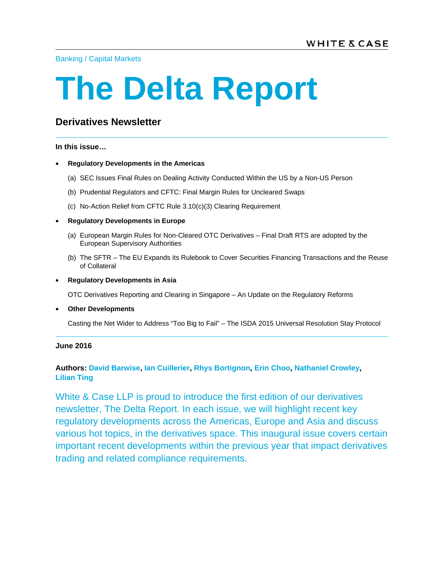Banking / Capital Markets

# **The Delta Report**

# **Derivatives Newsletter**

**In this issue…** 

- **Regulatory Developments in the Americas** 
	- (a) SEC Issues Final Rules on Dealing Activity Conducted Within the US by a Non-US Person
	- (b) Prudential Regulators and CFTC: Final Margin Rules for Uncleared Swaps
	- (c) No-Action Relief from CFTC Rule 3.10(c)(3) Clearing Requirement
- **Regulatory Developments in Europe** 
	- (a) European Margin Rules for Non-Cleared OTC Derivatives Final Draft RTS are adopted by the European Supervisory Authorities
	- (b) The SFTR The EU Expands its Rulebook to Cover Securities Financing Transactions and the Reuse of Collateral
- **Regulatory Developments in Asia**

OTC Derivatives Reporting and Clearing in Singapore – An Update on the Regulatory Reforms

• **Other Developments** 

Casting the Net Wider to Address "Too Big to Fail" – The ISDA 2015 Universal Resolution Stay Protocol

#### **June 2016**

## **Authors: David Barwise, Ian Cuillerier, Rhys Bortignon, Erin Choo, Nathaniel Crowley, Lilian Ting**

White & Case LLP is proud to introduce the first edition of our derivatives newsletter, The Delta Report. In each issue, we will highlight recent key regulatory developments across the Americas, Europe and Asia and discuss various hot topics, in the derivatives space. This inaugural issue covers certain important recent developments within the previous year that impact derivatives trading and related compliance requirements.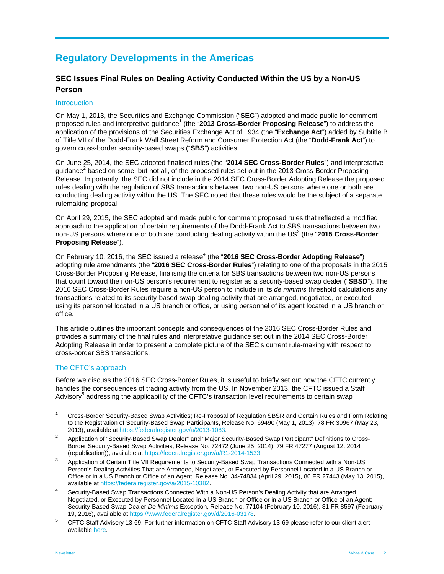# **Regulatory Developments in the Americas**

# **SEC Issues Final Rules on Dealing Activity Conducted Within the US by a Non-US Person**

#### **Introduction**

On May 1, 2013, the Securities and Exchange Commission ("**SEC**") adopted and made public for comment proposed rules and interpretive guidance<sup>1</sup> (the "2013 Cross-Border Proposing Release") to address the application of the provisions of the Securities Exchange Act of 1934 (the "**Exchange Act**") added by Subtitle B of Title VII of the Dodd-Frank Wall Street Reform and Consumer Protection Act (the "**Dodd-Frank Act**") to govern cross-border security-based swaps ("**SBS**") activities.

On June 25, 2014, the SEC adopted finalised rules (the "**2014 SEC Cross-Border Rules**") and interpretative guidance<sup>2</sup> based on some, but not all, of the proposed rules set out in the 2013 Cross-Border Proposing Release. Importantly, the SEC did not include in the 2014 SEC Cross-Border Adopting Release the proposed rules dealing with the regulation of SBS transactions between two non-US persons where one or both are conducting dealing activity within the US. The SEC noted that these rules would be the subject of a separate rulemaking proposal.

On April 29, 2015, the SEC adopted and made public for comment proposed rules that reflected a modified approach to the application of certain requirements of the Dodd-Frank Act to SBS transactions between two non-US persons where one or both are conducting dealing activity within the US<sup>3</sup> (the "2015 Cross-Border **Proposing Release**").

On February 10, 2016, the SEC issued a release<sup>4</sup> (the "2016 SEC Cross-Border Adopting Release") adopting rule amendments (the "**2016 SEC Cross-Border Rules**") relating to one of the proposals in the 2015 Cross-Border Proposing Release, finalising the criteria for SBS transactions between two non-US persons that count toward the non-US person's requirement to register as a security-based swap dealer ("**SBSD**"). The 2016 SEC Cross-Border Rules require a non-US person to include in its *de minimis* threshold calculations any transactions related to its security-based swap dealing activity that are arranged, negotiated, or executed using its personnel located in a US branch or office, or using personnel of its agent located in a US branch or office.

This article outlines the important concepts and consequences of the 2016 SEC Cross-Border Rules and provides a summary of the final rules and interpretative guidance set out in the 2014 SEC Cross-Border Adopting Release in order to present a complete picture of the SEC's current rule-making with respect to cross-border SBS transactions.

#### The CFTC's approach

Before we discuss the 2016 SEC Cross-Border Rules, it is useful to briefly set out how the CFTC currently handles the consequences of trading activity from the US. In November 2013, the CFTC issued a Staff Advisory<sup>5</sup> addressing the applicability of the CFTC's transaction level requirements to certain swap

 $\frac{1}{1}$  Cross-Border Security-Based Swap Activities; Re-Proposal of Regulation SBSR and Certain Rules and Form Relating to the Registration of Security-Based Swap Participants, Release No. 69490 (May 1, 2013), 78 FR 30967 (May 23, 2013), available at https://federalregister.gov/a/2013-1083.

Application of "Security-Based Swap Dealer" and "Major Security-Based Swap Participant" Definitions to Cross-Border Security-Based Swap Activities, Release No. 72472 (June 25, 2014), 79 FR 47277 (August 12, 2014 (republication)), available at https://federalregister.gov/a/R1-2014-1533. 3

Application of Certain Title VII Requirements to Security-Based Swap Transactions Connected with a Non-US Person's Dealing Activities That are Arranged, Negotiated, or Executed by Personnel Located in a US Branch or Office or in a US Branch or Office of an Agent, Release No. 34-74834 (April 29, 2015), 80 FR 27443 (May 13, 2015), available at https://federalregister.gov/a/2015-10382. 4

Security-Based Swap Transactions Connected With a Non-US Person's Dealing Activity that are Arranged, Negotiated, or Executed by Personnel Located in a US Branch or Office or in a US Branch or Office of an Agent; Security-Based Swap Dealer *De Minimis* Exception, Release No. 77104 (February 10, 2016), 81 FR 8597 (February 19, 2016), available at https://www.federalregister.gov/d/2016-03178. 5

CFTC Staff Advisory 13-69. For further information on CFTC Staff Advisory 13-69 please refer to our client alert available here.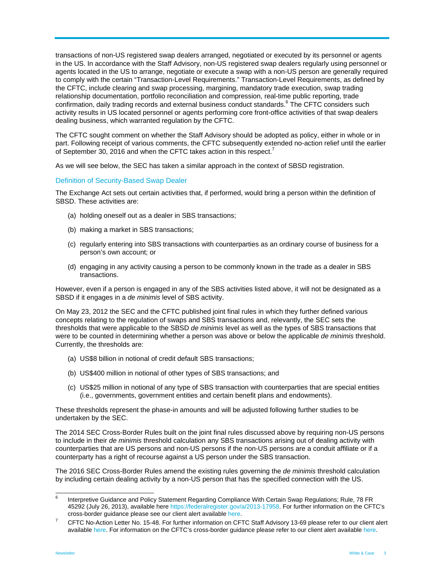transactions of non-US registered swap dealers arranged, negotiated or executed by its personnel or agents in the US. In accordance with the Staff Advisory, non-US registered swap dealers regularly using personnel or agents located in the US to arrange, negotiate or execute a swap with a non-US person are generally required to comply with the certain "Transaction-Level Requirements." Transaction-Level Requirements, as defined by the CFTC, include clearing and swap processing, margining, mandatory trade execution, swap trading relationship documentation, portfolio reconciliation and compression, real-time public reporting, trade confirmation, daily trading records and external business conduct standards.<sup>6</sup> The CFTC considers such activity results in US located personnel or agents performing core front-office activities of that swap dealers dealing business, which warranted regulation by the CFTC.

The CFTC sought comment on whether the Staff Advisory should be adopted as policy, either in whole or in part. Following receipt of various comments, the CFTC subsequently extended no-action relief until the earlier of September 30, 2016 and when the CFTC takes action in this respect.<sup>7</sup>

As we will see below, the SEC has taken a similar approach in the context of SBSD registration.

#### Definition of Security-Based Swap Dealer

The Exchange Act sets out certain activities that, if performed, would bring a person within the definition of SBSD. These activities are:

- (a) holding oneself out as a dealer in SBS transactions;
- (b) making a market in SBS transactions;
- (c) regularly entering into SBS transactions with counterparties as an ordinary course of business for a person's own account; or
- (d) engaging in any activity causing a person to be commonly known in the trade as a dealer in SBS transactions.

However, even if a person is engaged in any of the SBS activities listed above, it will not be designated as a SBSD if it engages in a *de minimis* level of SBS activity.

On May 23, 2012 the SEC and the CFTC published joint final rules in which they further defined various concepts relating to the regulation of swaps and SBS transactions and, relevantly, the SEC sets the thresholds that were applicable to the SBSD *de minimis* level as well as the types of SBS transactions that were to be counted in determining whether a person was above or below the applicable *de minimis* threshold. Currently, the thresholds are:

- (a) US\$8 billion in notional of credit default SBS transactions;
- (b) US\$400 million in notional of other types of SBS transactions; and
- (c) US\$25 million in notional of any type of SBS transaction with counterparties that are special entities (i.e., governments, government entities and certain benefit plans and endowments).

These thresholds represent the phase-in amounts and will be adjusted following further studies to be undertaken by the SEC.

The 2014 SEC Cross-Border Rules built on the joint final rules discussed above by requiring non-US persons to include in their *de minimis* threshold calculation any SBS transactions arising out of dealing activity with counterparties that are US persons and non-US persons if the non-US persons are a conduit affiliate or if a counterparty has a right of recourse against a US person under the SBS transaction.

The 2016 SEC Cross-Border Rules amend the existing rules governing the *de minimis* threshold calculation by including certain dealing activity by a non-US person that has the specified connection with the US.

 6 Interpretive Guidance and Policy Statement Regarding Compliance With Certain Swap Regulations; Rule, 78 FR 45292 (July 26, 2013), available here https://federalregister.gov/a/2013-17958. For further information on the CFTC's cross-border guidance please see our client alert available here. 7

CFTC No-Action Letter No. 15-48. For further information on CFTC Staff Advisory 13-69 please refer to our client alert available here. For information on the CFTC's cross-border guidance please refer to our client alert available here.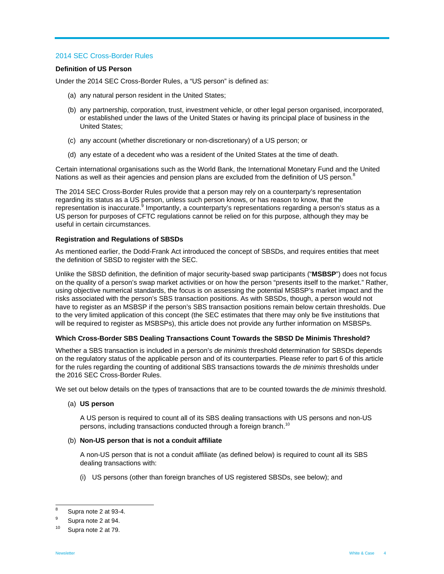#### 2014 SEC Cross-Border Rules

#### **Definition of US Person**

Under the 2014 SEC Cross-Border Rules, a "US person" is defined as:

- (a) any natural person resident in the United States;
- (b) any partnership, corporation, trust, investment vehicle, or other legal person organised, incorporated, or established under the laws of the United States or having its principal place of business in the United States;
- (c) any account (whether discretionary or non-discretionary) of a US person; or
- (d) any estate of a decedent who was a resident of the United States at the time of death.

Certain international organisations such as the World Bank, the International Monetary Fund and the United Nations as well as their agencies and pension plans are excluded from the definition of US person.<sup>8</sup>

The 2014 SEC Cross-Border Rules provide that a person may rely on a counterparty's representation regarding its status as a US person, unless such person knows, or has reason to know, that the representation is inaccurate.<sup>9</sup> Importantly, a counterparty's representations regarding a person's status as a US person for purposes of CFTC regulations cannot be relied on for this purpose, although they may be useful in certain circumstances.

#### **Registration and Regulations of SBSDs**

As mentioned earlier, the Dodd-Frank Act introduced the concept of SBSDs, and requires entities that meet the definition of SBSD to register with the SEC.

Unlike the SBSD definition, the definition of major security-based swap participants ("**MSBSP**") does not focus on the quality of a person's swap market activities or on how the person "presents itself to the market." Rather, using objective numerical standards, the focus is on assessing the potential MSBSP's market impact and the risks associated with the person's SBS transaction positions. As with SBSDs, though, a person would not have to register as an MSBSP if the person's SBS transaction positions remain below certain thresholds. Due to the very limited application of this concept (the SEC estimates that there may only be five institutions that will be required to register as MSBSPs), this article does not provide any further information on MSBSPs.

#### **Which Cross-Border SBS Dealing Transactions Count Towards the SBSD De Minimis Threshold?**

Whether a SBS transaction is included in a person's *de minimis* threshold determination for SBSDs depends on the regulatory status of the applicable person and of its counterparties. Please refer to part 6 of this article for the rules regarding the counting of additional SBS transactions towards the *de minimis* thresholds under the 2016 SEC Cross-Border Rules.

We set out below details on the types of transactions that are to be counted towards the *de minimis* threshold.

#### (a) **US person**

A US person is required to count all of its SBS dealing transactions with US persons and non-US persons, including transactions conducted through a foreign branch.<sup>10</sup>

#### (b) **Non-US person that is not a conduit affiliate**

A non-US person that is not a conduit affiliate (as defined below) is required to count all its SBS dealing transactions with:

(i) US persons (other than foreign branches of US registered SBSDs, see below); and

 8 Supra note 2 at 93-4.

<sup>9</sup> Supra note 2 at 94.

<sup>10</sup> Supra note 2 at 79.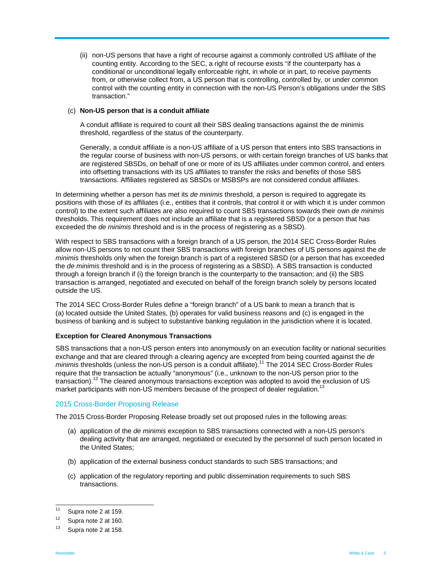(ii) non-US persons that have a right of recourse against a commonly controlled US affiliate of the counting entity. According to the SEC, a right of recourse exists "if the counterparty has a conditional or unconditional legally enforceable right, in whole or in part, to receive payments from, or otherwise collect from, a US person that is controlling, controlled by, or under common control with the counting entity in connection with the non-US Person's obligations under the SBS transaction."

#### (c) **Non-US person that is a conduit affiliate**

A conduit affiliate is required to count all their SBS dealing transactions against the de minimis threshold, regardless of the status of the counterparty.

Generally, a conduit affiliate is a non-US affiliate of a US person that enters into SBS transactions in the regular course of business with non-US persons, or with certain foreign branches of US banks that are registered SBSDs, on behalf of one or more of its US affiliates under common control, and enters into offsetting transactions with its US affiliates to transfer the risks and benefits of those SBS transactions. Affiliates registered as SBSDs or MSBSPs are not considered conduit affiliates.

In determining whether a person has met its *de minimis* threshold, a person is required to aggregate its positions with those of its affiliates (i.e., entities that it controls, that control it or with which it is under common control) to the extent such affiliates are also required to count SBS transactions towards their own *de minimis*  thresholds. This requirement does not include an affiliate that is a registered SBSD (or a person that has exceeded the *de minimis* threshold and is in the process of registering as a SBSD).

With respect to SBS transactions with a foreign branch of a US person, the 2014 SEC Cross-Border Rules allow non-US persons to not count their SBS transactions with foreign branches of US persons against the *de minimis* thresholds only when the foreign branch is part of a registered SBSD (or a person that has exceeded the *de minimis* threshold and is in the process of registering as a SBSD). A SBS transaction is conducted through a foreign branch if (i) the foreign branch is the counterparty to the transaction; and (ii) the SBS transaction is arranged, negotiated and executed on behalf of the foreign branch solely by persons located outside the US.

The 2014 SEC Cross-Border Rules define a "foreign branch" of a US bank to mean a branch that is (a) located outside the United States, (b) operates for valid business reasons and (c) is engaged in the business of banking and is subject to substantive banking regulation in the jurisdiction where it is located.

#### **Exception for Cleared Anonymous Transactions**

SBS transactions that a non-US person enters into anonymously on an execution facility or national securities exchange and that are cleared through a clearing agency are excepted from being counted against the *de minimis* thresholds (unless the non-US person is a conduit affiliate).<sup>11</sup> The 2014 SEC Cross-Border Rules require that the transaction be actually "anonymous" (i.e., unknown to the non-US person prior to the transaction).<sup>12</sup> The cleared anonymous transactions exception was adopted to avoid the exclusion of US market participants with non-US members because of the prospect of dealer regulation.<sup>1</sup>

#### 2015 Cross-Border Proposing Release

The 2015 Cross-Border Proposing Release broadly set out proposed rules in the following areas:

- (a) application of the *de minimis* exception to SBS transactions connected with a non-US person's dealing activity that are arranged, negotiated or executed by the personnel of such person located in the United States;
- (b) application of the external business conduct standards to such SBS transactions; and
- (c) application of the regulatory reporting and public dissemination requirements to such SBS transactions.

 $11$ Supra note 2 at 159.

 $12$  Supra note 2 at 160.

Supra note 2 at 158.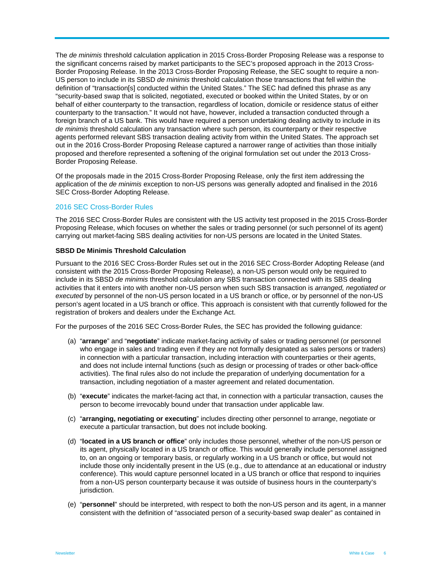The *de minimis* threshold calculation application in 2015 Cross-Border Proposing Release was a response to the significant concerns raised by market participants to the SEC's proposed approach in the 2013 Cross-Border Proposing Release. In the 2013 Cross-Border Proposing Release, the SEC sought to require a non-US person to include in its SBSD *de minimis* threshold calculation those transactions that fell within the definition of "transaction[s] conducted within the United States." The SEC had defined this phrase as any "security-based swap that is solicited, negotiated, executed or booked within the United States, by or on behalf of either counterparty to the transaction, regardless of location, domicile or residence status of either counterparty to the transaction." It would not have, however, included a transaction conducted through a foreign branch of a US bank. This would have required a person undertaking dealing activity to include in its *de minimis* threshold calculation any transaction where such person, its counterparty or their respective agents performed relevant SBS transaction dealing activity from within the United States. The approach set out in the 2016 Cross-Border Proposing Release captured a narrower range of activities than those initially proposed and therefore represented a softening of the original formulation set out under the 2013 Cross-Border Proposing Release.

Of the proposals made in the 2015 Cross-Border Proposing Release, only the first item addressing the application of the *de minimis* exception to non-US persons was generally adopted and finalised in the 2016 SEC Cross-Border Adopting Release.

#### 2016 SEC Cross-Border Rules

The 2016 SEC Cross-Border Rules are consistent with the US activity test proposed in the 2015 Cross-Border Proposing Release, which focuses on whether the sales or trading personnel (or such personnel of its agent) carrying out market-facing SBS dealing activities for non-US persons are located in the United States.

#### **SBSD De Minimis Threshold Calculation**

Pursuant to the 2016 SEC Cross-Border Rules set out in the 2016 SEC Cross-Border Adopting Release (and consistent with the 2015 Cross-Border Proposing Release), a non-US person would only be required to include in its SBSD *de minimis* threshold calculation any SBS transaction connected with its SBS dealing activities that it enters into with another non-US person when such SBS transaction is *arranged, negotiated or executed* by personnel of the non-US person located in a US branch or office, or by personnel of the non-US person's agent located in a US branch or office. This approach is consistent with that currently followed for the registration of brokers and dealers under the Exchange Act.

For the purposes of the 2016 SEC Cross-Border Rules, the SEC has provided the following guidance:

- (a) "**arrange**" and "**negotiate**" indicate market-facing activity of sales or trading personnel (or personnel who engage in sales and trading even if they are not formally designated as sales persons or traders) in connection with a particular transaction, including interaction with counterparties or their agents, and does not include internal functions (such as design or processing of trades or other back-office activities). The final rules also do not include the preparation of underlying documentation for a transaction, including negotiation of a master agreement and related documentation.
- (b) "**execute**" indicates the market-facing act that, in connection with a particular transaction, causes the person to become irrevocably bound under that transaction under applicable law.
- (c) "**arranging, negotiating or executing**" includes directing other personnel to arrange, negotiate or execute a particular transaction, but does not include booking.
- (d) "**located in a US branch or office**" only includes those personnel, whether of the non-US person or its agent, physically located in a US branch or office. This would generally include personnel assigned to, on an ongoing or temporary basis, or regularly working in a US branch or office, but would not include those only incidentally present in the US (e.g., due to attendance at an educational or industry conference). This would capture personnel located in a US branch or office that respond to inquiries from a non-US person counterparty because it was outside of business hours in the counterparty's jurisdiction.
- (e) "**personnel**" should be interpreted, with respect to both the non-US person and its agent, in a manner consistent with the definition of "associated person of a security-based swap dealer" as contained in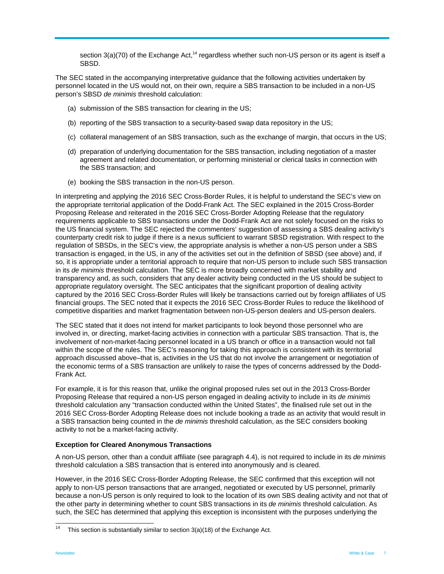section  $3(a)(70)$  of the Exchange Act,<sup>14</sup> regardless whether such non-US person or its agent is itself a SBSD.

The SEC stated in the accompanying interpretative guidance that the following activities undertaken by personnel located in the US would not, on their own, require a SBS transaction to be included in a non-US person's SBSD *de minimis* threshold calculation:

- (a) submission of the SBS transaction for clearing in the US;
- (b) reporting of the SBS transaction to a security-based swap data repository in the US;
- (c) collateral management of an SBS transaction, such as the exchange of margin, that occurs in the US;
- (d) preparation of underlying documentation for the SBS transaction, including negotiation of a master agreement and related documentation, or performing ministerial or clerical tasks in connection with the SBS transaction; and
- (e) booking the SBS transaction in the non-US person.

In interpreting and applying the 2016 SEC Cross-Border Rules, it is helpful to understand the SEC's view on the appropriate territorial application of the Dodd-Frank Act. The SEC explained in the 2015 Cross-Border Proposing Release and reiterated in the 2016 SEC Cross-Border Adopting Release that the regulatory requirements applicable to SBS transactions under the Dodd-Frank Act are not solely focused on the risks to the US financial system. The SEC rejected the commenters' suggestion of assessing a SBS dealing activity's counterparty credit risk to judge if there is a nexus sufficient to warrant SBSD registration. With respect to the regulation of SBSDs, in the SEC's view, the appropriate analysis is whether a non-US person under a SBS transaction is engaged, in the US, in any of the activities set out in the definition of SBSD (see above) and, if so, it is appropriate under a territorial approach to require that non-US person to include such SBS transaction in its *de minimis* threshold calculation. The SEC is more broadly concerned with market stability and transparency and, as such, considers that any dealer activity being conducted in the US should be subject to appropriate regulatory oversight. The SEC anticipates that the significant proportion of dealing activity captured by the 2016 SEC Cross-Border Rules will likely be transactions carried out by foreign affiliates of US financial groups. The SEC noted that it expects the 2016 SEC Cross-Border Rules to reduce the likelihood of competitive disparities and market fragmentation between non-US-person dealers and US-person dealers.

The SEC stated that it does not intend for market participants to look beyond those personnel who are involved in, or directing, market-facing activities in connection with a particular SBS transaction. That is, the involvement of non-market-facing personnel located in a US branch or office in a transaction would not fall within the scope of the rules. The SEC's reasoning for taking this approach is consistent with its territorial approach discussed above–that is, activities in the US that do not involve the arrangement or negotiation of the economic terms of a SBS transaction are unlikely to raise the types of concerns addressed by the Dodd-Frank Act.

For example, it is for this reason that, unlike the original proposed rules set out in the 2013 Cross-Border Proposing Release that required a non-US person engaged in dealing activity to include in its *de minimis*  threshold calculation any "transaction conducted within the United States", the finalised rule set out in the 2016 SEC Cross-Border Adopting Release does not include booking a trade as an activity that would result in a SBS transaction being counted in the *de minimis* threshold calculation, as the SEC considers booking activity to not be a market-facing activity.

#### **Exception for Cleared Anonymous Transactions**

A non-US person, other than a conduit affiliate (see paragraph 4.4), is not required to include in its *de minimis*  threshold calculation a SBS transaction that is entered into anonymously and is cleared.

However, in the 2016 SEC Cross-Border Adopting Release, the SEC confirmed that this exception will not apply to non-US person transactions that are arranged, negotiated or executed by US personnel, primarily because a non-US person is only required to look to the location of its own SBS dealing activity and not that of the other party in determining whether to count SBS transactions in its *de minimis* threshold calculation. As such, the SEC has determined that applying this exception is inconsistent with the purposes underlying the

 $14$ This section is substantially similar to section 3(a)(18) of the Exchange Act.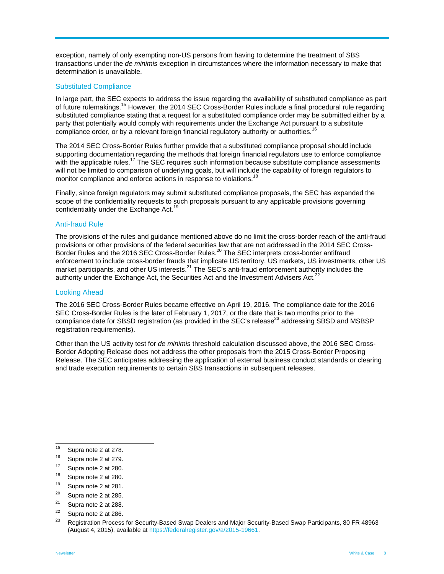exception, namely of only exempting non-US persons from having to determine the treatment of SBS transactions under the *de minimis* exception in circumstances where the information necessary to make that determination is unavailable.

#### Substituted Compliance

In large part, the SEC expects to address the issue regarding the availability of substituted compliance as part of future rulemakings.15 However, the 2014 SEC Cross-Border Rules include a final procedural rule regarding substituted compliance stating that a request for a substituted compliance order may be submitted either by a party that potentially would comply with requirements under the Exchange Act pursuant to a substitute compliance order, or by a relevant foreign financial regulatory authority or authorities.<sup>1</sup>

The 2014 SEC Cross-Border Rules further provide that a substituted compliance proposal should include supporting documentation regarding the methods that foreign financial regulators use to enforce compliance with the applicable rules.<sup>17</sup> The SEC requires such information because substitute compliance assessments will not be limited to comparison of underlying goals, but will include the capability of foreign regulators to monitor compliance and enforce actions in response to violations.<sup>18</sup>

Finally, since foreign regulators may submit substituted compliance proposals, the SEC has expanded the scope of the confidentiality requests to such proposals pursuant to any applicable provisions governing confidentiality under the Exchange Act.<sup>19</sup>

#### Anti-fraud Rule

The provisions of the rules and guidance mentioned above do no limit the cross-border reach of the anti-fraud provisions or other provisions of the federal securities law that are not addressed in the 2014 SEC Cross-Border Rules and the 2016 SEC Cross-Border Rules.<sup>20</sup> The SEC interprets cross-border antifraud enforcement to include cross-border frauds that implicate US territory, US markets, US investments, other US market participants, and other US interests.<sup>21</sup> The SEC's anti-fraud enforcement authority includes the authority under the Exchange Act, the Securities Act and the Investment Advisers Act. $2^2$ 

#### Looking Ahead

The 2016 SEC Cross-Border Rules became effective on April 19, 2016. The compliance date for the 2016 SEC Cross-Border Rules is the later of February 1, 2017, or the date that is two months prior to the compliance date for SBSD registration (as provided in the SEC's release<sup>23</sup> addressing SBSD and MSBSP registration requirements).

Other than the US activity test for *de minimis* threshold calculation discussed above, the 2016 SEC Cross-Border Adopting Release does not address the other proposals from the 2015 Cross-Border Proposing Release. The SEC anticipates addressing the application of external business conduct standards or clearing and trade execution requirements to certain SBS transactions in subsequent releases.

<sup>15</sup> Supra note 2 at 278.

<sup>16</sup> Supra note 2 at 279.

 $^{17}$  Supra note 2 at 280.

Supra note 2 at 280.

<sup>19</sup> Supra note 2 at 281.

 $20$  Supra note 2 at 285.

<sup>&</sup>lt;sup>21</sup> Supra note 2 at 288. Supra note 2 at 286.

<sup>&</sup>lt;sup>23</sup> Registration Process for Security-Based Swap Dealers and Major Security-Based Swap Participants, 80 FR 48963 (August 4, 2015), available at https://federalregister.gov/a/2015-19661.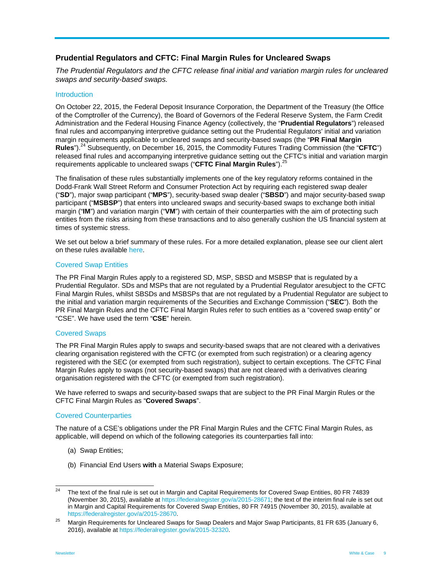### **Prudential Regulators and CFTC: Final Margin Rules for Uncleared Swaps**

*The Prudential Regulators and the CFTC release final initial and variation margin rules for uncleared swaps and security-based swaps.* 

#### **Introduction**

On October 22, 2015, the Federal Deposit Insurance Corporation, the Department of the Treasury (the Office of the Comptroller of the Currency), the Board of Governors of the Federal Reserve System, the Farm Credit Administration and the Federal Housing Finance Agency (collectively, the "**Prudential Regulators**") released final rules and accompanying interpretive guidance setting out the Prudential Regulators' initial and variation margin requirements applicable to uncleared swaps and security-based swaps (the "**PR Final Margin Rules**").24 Subsequently, on December 16, 2015, the Commodity Futures Trading Commission (the "**CFTC**") released final rules and accompanying interpretive guidance setting out the CFTC's initial and variation margin requirements applicable to uncleared swaps ("**CFTC Final Margin Rules**").<sup>25</sup>

The finalisation of these rules substantially implements one of the key regulatory reforms contained in the Dodd-Frank Wall Street Reform and Consumer Protection Act by requiring each registered swap dealer ("**SD**"), major swap participant ("**MPS**"), security-based swap dealer ("**SBSD**") and major security-based swap participant ("**MSBSP**") that enters into uncleared swaps and security-based swaps to exchange both initial margin ("**IM**") and variation margin ("**VM**") with certain of their counterparties with the aim of protecting such entities from the risks arising from these transactions and to also generally cushion the US financial system at times of systemic stress.

We set out below a brief summary of these rules. For a more detailed explanation, please see our client alert on these rules available here.

#### Covered Swap Entities

The PR Final Margin Rules apply to a registered SD, MSP, SBSD and MSBSP that is regulated by a Prudential Regulator. SDs and MSPs that are not regulated by a Prudential Regulator aresubject to the CFTC Final Margin Rules, whilst SBSDs and MSBSPs that are not regulated by a Prudential Regulator are subject to the initial and variation margin requirements of the Securities and Exchange Commission ("**SEC**"). Both the PR Final Margin Rules and the CFTC Final Margin Rules refer to such entities as a "covered swap entity" or "CSE". We have used the term "**CSE**" herein.

#### Covered Swaps

The PR Final Margin Rules apply to swaps and security-based swaps that are not cleared with a derivatives clearing organisation registered with the CFTC (or exempted from such registration) or a clearing agency registered with the SEC (or exempted from such registration), subject to certain exceptions. The CFTC Final Margin Rules apply to swaps (not security-based swaps) that are not cleared with a derivatives clearing organisation registered with the CFTC (or exempted from such registration).

We have referred to swaps and security-based swaps that are subject to the PR Final Margin Rules or the CFTC Final Margin Rules as "**Covered Swaps**".

#### Covered Counterparties

The nature of a CSE's obligations under the PR Final Margin Rules and the CFTC Final Margin Rules, as applicable, will depend on which of the following categories its counterparties fall into:

- (a) Swap Entities;
- (b) Financial End Users **with** a Material Swaps Exposure;

 $\overline{24}$ 24 The text of the final rule is set out in Margin and Capital Requirements for Covered Swap Entities, 80 FR 74839 (November 30, 2015), available at https://federalregister.gov/a/2015-28671; the text of the interim final rule is set out in Margin and Capital Requirements for Covered Swap Entities, 80 FR 74915 (November 30, 2015), available at https://federalregister.gov/a/2015-28670.<br><sup>25</sup> Margin Requirements for Uncleared Swaps for Swap Dealers and Major Swap Participants, 81 FR 635 (January 6,

<sup>2016),</sup> available at https://federalregister.gov/a/2015-32320.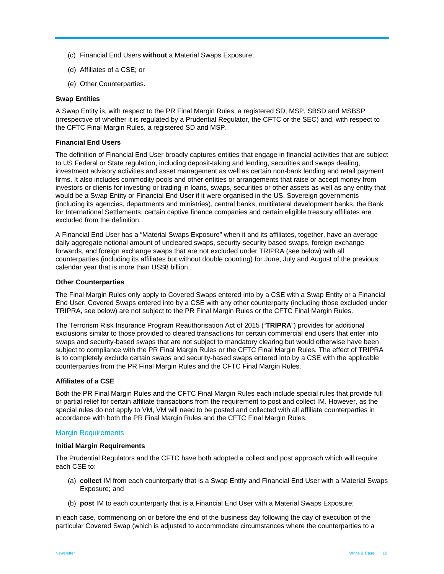- (c) Financial End Users **without** a Material Swaps Exposure;
- (d) Affiliates of a CSE; or
- (e) Other Counterparties.

#### **Swap Entities**

A Swap Entity is, with respect to the PR Final Margin Rules, a registered SD, MSP, SBSD and MSBSP (irrespective of whether it is regulated by a Prudential Regulator, the CFTC or the SEC) and, with respect to the CFTC Final Margin Rules, a registered SD and MSP.

#### **Financial End Users**

The definition of Financial End User broadly captures entities that engage in financial activities that are subject to US Federal or State regulation, including deposit-taking and lending, securities and swaps dealing, investment advisory activities and asset management as well as certain non-bank lending and retail payment firms. It also includes commodity pools and other entities or arrangements that raise or accept money from investors or clients for investing or trading in loans, swaps, securities or other assets as well as any entity that would be a Swap Entity or Financial End User if it were organised in the US. Sovereign governments (including its agencies, departments and ministries), central banks, multilateral development banks, the Bank for International Settlements, certain captive finance companies and certain eligible treasury affiliates are excluded from the definition.

A Financial End User has a "Material Swaps Exposure" when it and its affiliates, together, have an average daily aggregate notional amount of uncleared swaps, security-security based swaps, foreign exchange forwards, and foreign exchange swaps that are not excluded under TRIPRA (see below) with all counterparties (including its affiliates but without double counting) for June, July and August of the previous calendar year that is more than US\$8 billion.

#### **Other Counterparties**

The Final Margin Rules only apply to Covered Swaps entered into by a CSE with a Swap Entity or a Financial End User. Covered Swaps entered into by a CSE with any other counterparty (including those excluded under TRIPRA, see below) are not subject to the PR Final Margin Rules or the CFTC Final Margin Rules.

The Terrorism Risk Insurance Program Reauthorisation Act of 2015 ("**TRIPRA**") provides for additional exclusions similar to those provided to cleared transactions for certain commercial end users that enter into swaps and security-based swaps that are not subject to mandatory clearing but would otherwise have been subject to compliance with the PR Final Margin Rules or the CFTC Final Margin Rules. The effect of TRIPRA is to completely exclude certain swaps and security-based swaps entered into by a CSE with the applicable counterparties from the PR Final Margin Rules and the CFTC Final Margin Rules.

#### **Affiliates of a CSE**

Both the PR Final Margin Rules and the CFTC Final Margin Rules each include special rules that provide full or partial relief for certain affiliate transactions from the requirement to post and collect IM. However, as the special rules do not apply to VM, VM will need to be posted and collected with all affiliate counterparties in accordance with both the PR Final Margin Rules and the CFTC Final Margin Rules.

#### Margin Requirements

#### **Initial Margin Requirements**

The Prudential Regulators and the CFTC have both adopted a collect and post approach which will require each CSE to:

- (a) **collect** IM from each counterparty that is a Swap Entity and Financial End User with a Material Swaps Exposure; and
- (b) **post** IM to each counterparty that is a Financial End User with a Material Swaps Exposure;

in each case, commencing on or before the end of the business day following the day of execution of the particular Covered Swap (which is adjusted to accommodate circumstances where the counterparties to a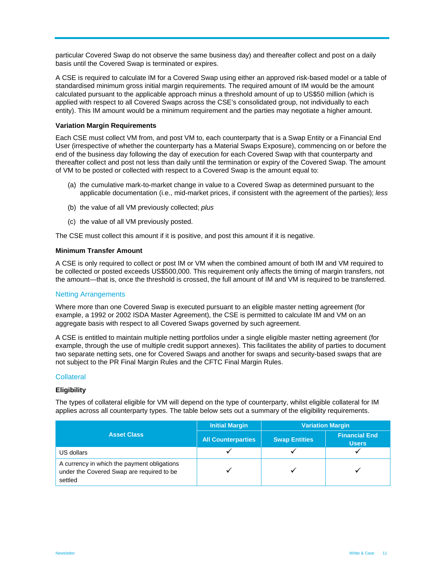particular Covered Swap do not observe the same business day) and thereafter collect and post on a daily basis until the Covered Swap is terminated or expires.

A CSE is required to calculate IM for a Covered Swap using either an approved risk-based model or a table of standardised minimum gross initial margin requirements. The required amount of IM would be the amount calculated pursuant to the applicable approach minus a threshold amount of up to US\$50 million (which is applied with respect to all Covered Swaps across the CSE's consolidated group, not individually to each entity). This IM amount would be a minimum requirement and the parties may negotiate a higher amount.

#### **Variation Margin Requirements**

Each CSE must collect VM from, and post VM to, each counterparty that is a Swap Entity or a Financial End User (irrespective of whether the counterparty has a Material Swaps Exposure), commencing on or before the end of the business day following the day of execution for each Covered Swap with that counterparty and thereafter collect and post not less than daily until the termination or expiry of the Covered Swap. The amount of VM to be posted or collected with respect to a Covered Swap is the amount equal to:

- (a) the cumulative mark-to-market change in value to a Covered Swap as determined pursuant to the applicable documentation (i.e., mid-market prices, if consistent with the agreement of the parties); *less*
- (b) the value of all VM previously collected; *plus*
- (c) the value of all VM previously posted.

The CSE must collect this amount if it is positive, and post this amount if it is negative.

#### **Minimum Transfer Amount**

A CSE is only required to collect or post IM or VM when the combined amount of both IM and VM required to be collected or posted exceeds US\$500,000. This requirement only affects the timing of margin transfers, not the amount—that is, once the threshold is crossed, the full amount of IM and VM is required to be transferred.

#### Netting Arrangements

Where more than one Covered Swap is executed pursuant to an eligible master netting agreement (for example, a 1992 or 2002 ISDA Master Agreement), the CSE is permitted to calculate IM and VM on an aggregate basis with respect to all Covered Swaps governed by such agreement.

A CSE is entitled to maintain multiple netting portfolios under a single eligible master netting agreement (for example, through the use of multiple credit support annexes). This facilitates the ability of parties to document two separate netting sets, one for Covered Swaps and another for swaps and security-based swaps that are not subject to the PR Final Margin Rules and the CFTC Final Margin Rules.

#### **Collateral**

#### **Eligibility**

The types of collateral eligible for VM will depend on the type of counterparty, whilst eligible collateral for IM applies across all counterparty types. The table below sets out a summary of the eligibility requirements.

|                                                                                                     | <b>Initial Margin</b>     | <b>Variation Margin</b> |                                      |
|-----------------------------------------------------------------------------------------------------|---------------------------|-------------------------|--------------------------------------|
| <b>Asset Class</b>                                                                                  | <b>All Counterparties</b> | <b>Swap Entities</b>    | <b>Financial End</b><br><b>Users</b> |
| US dollars                                                                                          |                           |                         |                                      |
| A currency in which the payment obligations<br>under the Covered Swap are required to be<br>settled |                           |                         |                                      |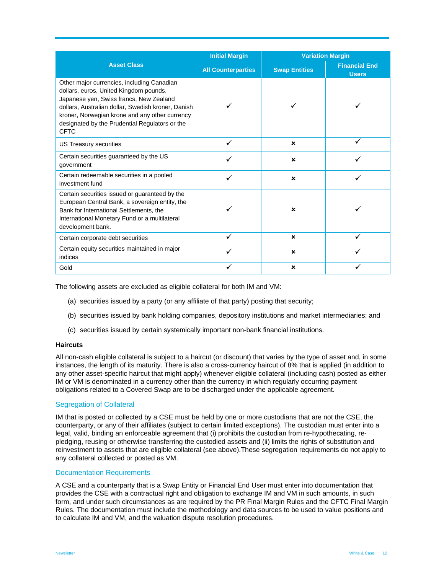|                                                                                                                                                                                                                                                                                                          | <b>Initial Margin</b>     | <b>Variation Margin</b>   |                                      |
|----------------------------------------------------------------------------------------------------------------------------------------------------------------------------------------------------------------------------------------------------------------------------------------------------------|---------------------------|---------------------------|--------------------------------------|
| <b>Asset Class</b>                                                                                                                                                                                                                                                                                       | <b>All Counterparties</b> | <b>Swap Entities</b>      | <b>Financial End</b><br><b>Users</b> |
| Other major currencies, including Canadian<br>dollars, euros, United Kingdom pounds,<br>Japanese yen, Swiss francs, New Zealand<br>dollars, Australian dollar, Swedish kroner, Danish<br>kroner, Norwegian krone and any other currency<br>designated by the Prudential Regulators or the<br><b>CFTC</b> |                           |                           |                                      |
| US Treasury securities                                                                                                                                                                                                                                                                                   |                           | $\boldsymbol{\mathsf{x}}$ |                                      |
| Certain securities guaranteed by the US<br>government                                                                                                                                                                                                                                                    |                           | $\boldsymbol{\mathsf{x}}$ |                                      |
| Certain redeemable securities in a pooled<br>investment fund                                                                                                                                                                                                                                             |                           | $\boldsymbol{\mathsf{x}}$ |                                      |
| Certain securities issued or guaranteed by the<br>European Central Bank, a sovereign entity, the<br>Bank for International Settlements, the<br>International Monetary Fund or a multilateral<br>development bank.                                                                                        |                           | $\boldsymbol{\mathsf{x}}$ |                                      |
| Certain corporate debt securities                                                                                                                                                                                                                                                                        | $\checkmark$              | $\boldsymbol{\mathsf{x}}$ |                                      |
| Certain equity securities maintained in major<br>indices                                                                                                                                                                                                                                                 |                           | ×                         |                                      |
| Gold                                                                                                                                                                                                                                                                                                     |                           | $\boldsymbol{\mathsf{x}}$ |                                      |

The following assets are excluded as eligible collateral for both IM and VM:

- (a) securities issued by a party (or any affiliate of that party) posting that security;
- (b) securities issued by bank holding companies, depository institutions and market intermediaries; and
- (c) securities issued by certain systemically important non-bank financial institutions.

#### **Haircuts**

All non-cash eligible collateral is subject to a haircut (or discount) that varies by the type of asset and, in some instances, the length of its maturity. There is also a cross-currency haircut of 8% that is applied (in addition to any other asset-specific haircut that might apply) whenever eligible collateral (including cash) posted as either IM or VM is denominated in a currency other than the currency in which regularly occurring payment obligations related to a Covered Swap are to be discharged under the applicable agreement.

#### Segregation of Collateral

IM that is posted or collected by a CSE must be held by one or more custodians that are not the CSE, the counterparty, or any of their affiliates (subject to certain limited exceptions). The custodian must enter into a legal, valid, binding an enforceable agreement that (i) prohibits the custodian from re-hypothecating, repledging, reusing or otherwise transferring the custodied assets and (ii) limits the rights of substitution and reinvestment to assets that are eligible collateral (see above).These segregation requirements do not apply to any collateral collected or posted as VM.

#### Documentation Requirements

A CSE and a counterparty that is a Swap Entity or Financial End User must enter into documentation that provides the CSE with a contractual right and obligation to exchange IM and VM in such amounts, in such form, and under such circumstances as are required by the PR Final Margin Rules and the CFTC Final Margin Rules. The documentation must include the methodology and data sources to be used to value positions and to calculate IM and VM, and the valuation dispute resolution procedures.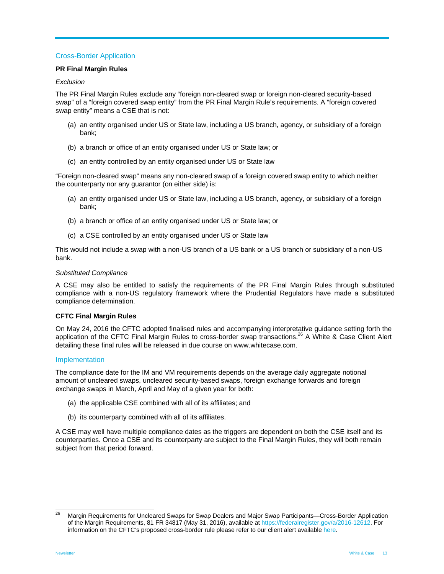## Cross-Border Application

#### **PR Final Margin Rules**

#### *Exclusion*

The PR Final Margin Rules exclude any "foreign non-cleared swap or foreign non-cleared security-based swap" of a "foreign covered swap entity" from the PR Final Margin Rule's requirements. A "foreign covered swap entity" means a CSE that is not:

- (a) an entity organised under US or State law, including a US branch, agency, or subsidiary of a foreign bank;
- (b) a branch or office of an entity organised under US or State law; or
- (c) an entity controlled by an entity organised under US or State law

"Foreign non-cleared swap" means any non-cleared swap of a foreign covered swap entity to which neither the counterparty nor any guarantor (on either side) is:

- (a) an entity organised under US or State law, including a US branch, agency, or subsidiary of a foreign bank;
- (b) a branch or office of an entity organised under US or State law; or
- (c) a CSE controlled by an entity organised under US or State law

This would not include a swap with a non-US branch of a US bank or a US branch or subsidiary of a non-US bank.

#### *Substituted Compliance*

A CSE may also be entitled to satisfy the requirements of the PR Final Margin Rules through substituted compliance with a non-US regulatory framework where the Prudential Regulators have made a substituted compliance determination.

#### **CFTC Final Margin Rules**

On May 24, 2016 the CFTC adopted finalised rules and accompanying interpretative guidance setting forth the application of the CFTC Final Margin Rules to cross-border swap transactions.<sup>26</sup> A White & Case Client Alert detailing these final rules will be released in due course on www.whitecase.com.

#### Implementation

The compliance date for the IM and VM requirements depends on the average daily aggregate notional amount of uncleared swaps, uncleared security-based swaps, foreign exchange forwards and foreign exchange swaps in March, April and May of a given year for both:

- (a) the applicable CSE combined with all of its affiliates; and
- (b) its counterparty combined with all of its affiliates.

A CSE may well have multiple compliance dates as the triggers are dependent on both the CSE itself and its counterparties. Once a CSE and its counterparty are subject to the Final Margin Rules, they will both remain subject from that period forward.

<sup>26</sup> 26 Margin Requirements for Uncleared Swaps for Swap Dealers and Major Swap Participants—Cross-Border Application of the Margin Requirements, 81 FR 34817 (May 31, 2016), available at https://federalregister.gov/a/2016-12612. For information on the CFTC's proposed cross-border rule please refer to our client alert available here.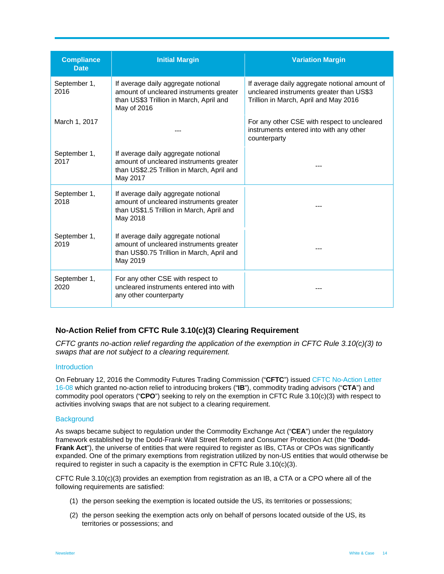| <b>Compliance</b><br><b>Date</b> | <b>Initial Margin</b>                                                                                                                    | <b>Variation Margin</b>                                                                                                            |
|----------------------------------|------------------------------------------------------------------------------------------------------------------------------------------|------------------------------------------------------------------------------------------------------------------------------------|
| September 1,<br>2016             | If average daily aggregate notional<br>amount of uncleared instruments greater<br>than US\$3 Trillion in March, April and<br>May of 2016 | If average daily aggregate notional amount of<br>uncleared instruments greater than US\$3<br>Trillion in March, April and May 2016 |
| March 1, 2017                    |                                                                                                                                          | For any other CSE with respect to uncleared<br>instruments entered into with any other<br>counterparty                             |
| September 1,<br>2017             | If average daily aggregate notional<br>amount of uncleared instruments greater<br>than US\$2.25 Trillion in March, April and<br>May 2017 |                                                                                                                                    |
| September 1,<br>2018             | If average daily aggregate notional<br>amount of uncleared instruments greater<br>than US\$1.5 Trillion in March, April and<br>May 2018  |                                                                                                                                    |
| September 1,<br>2019             | If average daily aggregate notional<br>amount of uncleared instruments greater<br>than US\$0.75 Trillion in March, April and<br>May 2019 |                                                                                                                                    |
| September 1,<br>2020             | For any other CSE with respect to<br>uncleared instruments entered into with<br>any other counterparty                                   | ---                                                                                                                                |

## **No-Action Relief from CFTC Rule 3.10(c)(3) Clearing Requirement**

*CFTC grants no-action relief regarding the application of the exemption in CFTC Rule 3.10(c)(3) to swaps that are not subject to a clearing requirement.* 

#### **Introduction**

On February 12, 2016 the Commodity Futures Trading Commission ("**CFTC**") issued CFTC No-Action Letter 16-08 which granted no-action relief to introducing brokers ("**IB**"), commodity trading advisors ("**CTA**") and commodity pool operators ("**CPO**") seeking to rely on the exemption in CFTC Rule 3.10(c)(3) with respect to activities involving swaps that are not subject to a clearing requirement.

#### **Background**

As swaps became subject to regulation under the Commodity Exchange Act ("**CEA**") under the regulatory framework established by the Dodd-Frank Wall Street Reform and Consumer Protection Act (the "**Dodd-Frank Act**"), the universe of entities that were required to register as IBs, CTAs or CPOs was significantly expanded. One of the primary exemptions from registration utilized by non-US entities that would otherwise be required to register in such a capacity is the exemption in CFTC Rule 3.10(c)(3).

CFTC Rule 3.10(c)(3) provides an exemption from registration as an IB, a CTA or a CPO where all of the following requirements are satisfied:

- (1) the person seeking the exemption is located outside the US, its territories or possessions;
- (2) the person seeking the exemption acts only on behalf of persons located outside of the US, its territories or possessions; and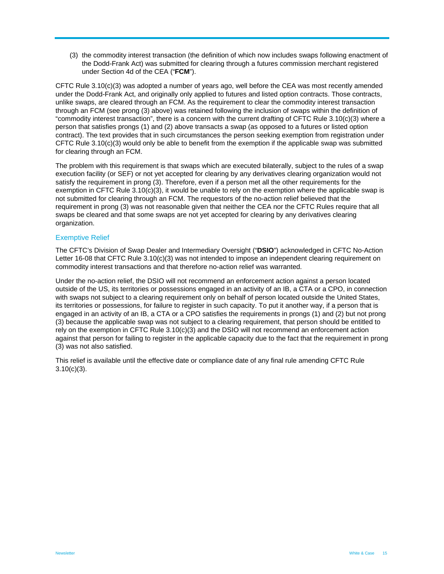(3) the commodity interest transaction (the definition of which now includes swaps following enactment of the Dodd-Frank Act) was submitted for clearing through a futures commission merchant registered under Section 4d of the CEA ("**FCM**").

CFTC Rule 3.10(c)(3) was adopted a number of years ago, well before the CEA was most recently amended under the Dodd-Frank Act, and originally only applied to futures and listed option contracts. Those contracts, unlike swaps, are cleared through an FCM. As the requirement to clear the commodity interest transaction through an FCM (see prong (3) above) was retained following the inclusion of swaps within the definition of "commodity interest transaction", there is a concern with the current drafting of CFTC Rule  $3.10(c)(3)$  where a person that satisfies prongs (1) and (2) above transacts a swap (as opposed to a futures or listed option contract). The text provides that in such circumstances the person seeking exemption from registration under CFTC Rule 3.10(c)(3) would only be able to benefit from the exemption if the applicable swap was submitted for clearing through an FCM.

The problem with this requirement is that swaps which are executed bilaterally, subject to the rules of a swap execution facility (or SEF) or not yet accepted for clearing by any derivatives clearing organization would not satisfy the requirement in prong (3). Therefore, even if a person met all the other requirements for the exemption in CFTC Rule 3.10(c)(3), it would be unable to rely on the exemption where the applicable swap is not submitted for clearing through an FCM. The requestors of the no-action relief believed that the requirement in prong (3) was not reasonable given that neither the CEA nor the CFTC Rules require that all swaps be cleared and that some swaps are not yet accepted for clearing by any derivatives clearing organization.

#### Exemptive Relief

The CFTC's Division of Swap Dealer and Intermediary Oversight ("**DSIO**") acknowledged in CFTC No-Action Letter 16-08 that CFTC Rule 3.10(c)(3) was not intended to impose an independent clearing requirement on commodity interest transactions and that therefore no-action relief was warranted.

Under the no-action relief, the DSIO will not recommend an enforcement action against a person located outside of the US, its territories or possessions engaged in an activity of an IB, a CTA or a CPO, in connection with swaps not subject to a clearing requirement only on behalf of person located outside the United States, its territories or possessions, for failure to register in such capacity. To put it another way, if a person that is engaged in an activity of an IB, a CTA or a CPO satisfies the requirements in prongs (1) and (2) but not prong (3) because the applicable swap was not subject to a clearing requirement, that person should be entitled to rely on the exemption in CFTC Rule 3.10(c)(3) and the DSIO will not recommend an enforcement action against that person for failing to register in the applicable capacity due to the fact that the requirement in prong (3) was not also satisfied.

This relief is available until the effective date or compliance date of any final rule amending CFTC Rule  $3.10(c)(3)$ .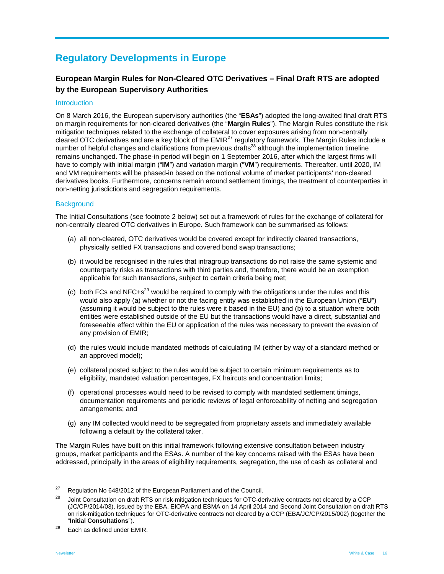# **Regulatory Developments in Europe**

# **European Margin Rules for Non-Cleared OTC Derivatives – Final Draft RTS are adopted by the European Supervisory Authorities**

#### **Introduction**

On 8 March 2016, the European supervisory authorities (the "**ESAs**") adopted the long-awaited final draft RTS on margin requirements for non-cleared derivatives (the "**Margin Rules**"). The Margin Rules constitute the risk mitigation techniques related to the exchange of collateral to cover exposures arising from non-centrally cleared OTC derivatives and are a key block of the EMIR<sup>27</sup> regulatory framework. The Margin Rules include a number of helpful changes and clarifications from previous drafts<sup>28</sup> although the implementation timeline remains unchanged. The phase-in period will begin on 1 September 2016, after which the largest firms will have to comply with initial margin ("**IM**") and variation margin ("**VM**") requirements. Thereafter, until 2020, IM and VM requirements will be phased-in based on the notional volume of market participants' non-cleared derivatives books. Furthermore, concerns remain around settlement timings, the treatment of counterparties in non-netting jurisdictions and segregation requirements.

#### **Background**

The Initial Consultations (see footnote 2 below) set out a framework of rules for the exchange of collateral for non-centrally cleared OTC derivatives in Europe. Such framework can be summarised as follows:

- (a) all non-cleared, OTC derivatives would be covered except for indirectly cleared transactions, physically settled FX transactions and covered bond swap transactions;
- (b) it would be recognised in the rules that intragroup transactions do not raise the same systemic and counterparty risks as transactions with third parties and, therefore, there would be an exemption applicable for such transactions, subject to certain criteria being met;
- (c) both FCs and NFC+s<sup>29</sup> would be required to comply with the obligations under the rules and this would also apply (a) whether or not the facing entity was established in the European Union ("**EU**") (assuming it would be subject to the rules were it based in the EU) and (b) to a situation where both entities were established outside of the EU but the transactions would have a direct, substantial and foreseeable effect within the EU or application of the rules was necessary to prevent the evasion of any provision of EMIR;
- (d) the rules would include mandated methods of calculating IM (either by way of a standard method or an approved model);
- (e) collateral posted subject to the rules would be subject to certain minimum requirements as to eligibility, mandated valuation percentages, FX haircuts and concentration limits;
- (f) operational processes would need to be revised to comply with mandated settlement timings, documentation requirements and periodic reviews of legal enforceability of netting and segregation arrangements; and
- (g) any IM collected would need to be segregated from proprietary assets and immediately available following a default by the collateral taker.

The Margin Rules have built on this initial framework following extensive consultation between industry groups, market participants and the ESAs. A number of the key concerns raised with the ESAs have been addressed, principally in the areas of eligibility requirements, segregation, the use of cash as collateral and

<sup>27</sup> <sup>27</sup> Regulation No 648/2012 of the European Parliament and of the Council.<br><sup>28</sup> Principal Parliament and of the Council.

<sup>28</sup> Joint Consultation on draft RTS on risk-mitigation techniques for OTC-derivative contracts not cleared by a CCP (JC/CP/2014/03), issued by the EBA, EIOPA and ESMA on 14 April 2014 and Second Joint Consultation on draft RTS on risk-mitigation techniques for OTC-derivative contracts not cleared by a CCP (EBA/JC/CP/2015/002) (together the<br>"Initial Consultations").

<sup>&</sup>lt;sup>29</sup> Each as defined under EMIR.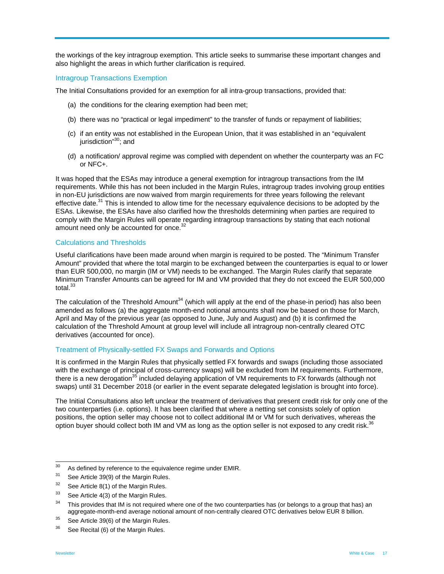the workings of the key intragroup exemption. This article seeks to summarise these important changes and also highlight the areas in which further clarification is required.

#### Intragroup Transactions Exemption

The Initial Consultations provided for an exemption for all intra-group transactions, provided that:

- (a) the conditions for the clearing exemption had been met;
- (b) there was no "practical or legal impediment" to the transfer of funds or repayment of liabilities;
- (c) if an entity was not established in the European Union, that it was established in an "equivalent jurisdiction<sup>"30</sup>; and
- (d) a notification/ approval regime was complied with dependent on whether the counterparty was an FC or NFC+.

It was hoped that the ESAs may introduce a general exemption for intragroup transactions from the IM requirements. While this has not been included in the Margin Rules, intragroup trades involving group entities in non-EU jurisdictions are now waived from margin requirements for three years following the relevant effective date.<sup>31</sup> This is intended to allow time for the necessary equivalence decisions to be adopted by the ESAs. Likewise, the ESAs have also clarified how the thresholds determining when parties are required to comply with the Margin Rules will operate regarding intragroup transactions by stating that each notional amount need only be accounted for once.<sup>32</sup>

#### Calculations and Thresholds

Useful clarifications have been made around when margin is required to be posted. The "Minimum Transfer Amount" provided that where the total margin to be exchanged between the counterparties is equal to or lower than EUR 500,000, no margin (IM or VM) needs to be exchanged. The Margin Rules clarify that separate Minimum Transfer Amounts can be agreed for IM and VM provided that they do not exceed the EUR 500,000 total.<sup>33</sup>

The calculation of the Threshold Amount<sup>34</sup> (which will apply at the end of the phase-in period) has also been amended as follows (a) the aggregate month-end notional amounts shall now be based on those for March, April and May of the previous year (as opposed to June, July and August) and (b) it is confirmed the calculation of the Threshold Amount at group level will include all intragroup non-centrally cleared OTC derivatives (accounted for once).

#### Treatment of Physically-settled FX Swaps and Forwards and Options

It is confirmed in the Margin Rules that physically settled FX forwards and swaps (including those associated with the exchange of principal of cross-currency swaps) will be excluded from IM requirements. Furthermore, there is a new derogation<sup>35</sup> included delaying application of VM requirements to FX forwards (although not swaps) until 31 December 2018 (or earlier in the event separate delegated legislation is brought into force).

The Initial Consultations also left unclear the treatment of derivatives that present credit risk for only one of the two counterparties (i.e. options). It has been clarified that where a netting set consists solely of option positions, the option seller may choose not to collect additional IM or VM for such derivatives, whereas the option buyer should collect both IM and VM as long as the option seller is not exposed to any credit risk.<sup>36</sup>

<sup>30</sup> <sup>30</sup> As defined by reference to the equivalence regime under EMIR.<br> $31 - 244 + 144 = 26(2) + 14 + 144 = 24$ 

See Article 39(9) of the Margin Rules.

 $32$  See Article 8(1) of the Margin Rules.

 $33$  See Article 4(3) of the Margin Rules.

 $34$  This provides that IM is not required where one of the two counterparties has (or belongs to a group that has) an aggregate-month-end average notional amount of non-centrally cleared OTC derivatives below EUR 8 billion.<br><sup>35</sup> See Article 39(6) of the Margin Rules.

 $36$  See Recital (6) of the Margin Rules.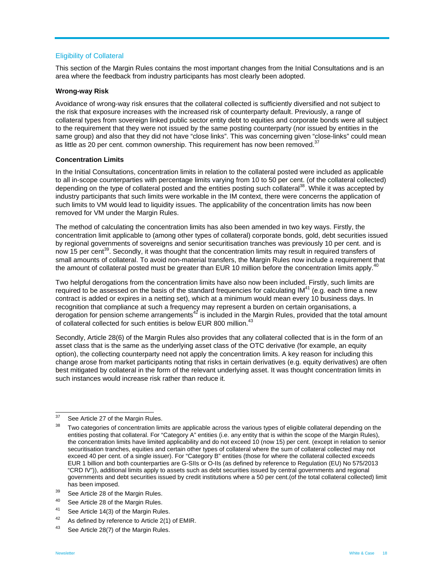#### Eligibility of Collateral

This section of the Margin Rules contains the most important changes from the Initial Consultations and is an area where the feedback from industry participants has most clearly been adopted.

#### **Wrong-way Risk**

Avoidance of wrong-way risk ensures that the collateral collected is sufficiently diversified and not subject to the risk that exposure increases with the increased risk of counterparty default. Previously, a range of collateral types from sovereign linked public sector entity debt to equities and corporate bonds were all subject to the requirement that they were not issued by the same posting counterparty (nor issued by entities in the same group) and also that they did not have "close links". This was concerning given "close-links" could mean as little as 20 per cent. common ownership. This requirement has now been removed.<sup>37</sup>

#### **Concentration Limits**

In the Initial Consultations, concentration limits in relation to the collateral posted were included as applicable to all in-scope counterparties with percentage limits varying from 10 to 50 per cent. (of the collateral collected) depending on the type of collateral posted and the entities posting such collateral<sup>38</sup>. While it was accepted by industry participants that such limits were workable in the IM context, there were concerns the application of such limits to VM would lead to liquidity issues. The applicability of the concentration limits has now been removed for VM under the Margin Rules.

The method of calculating the concentration limits has also been amended in two key ways. Firstly, the concentration limit applicable to (among other types of collateral) corporate bonds, gold, debt securities issued by regional governments of sovereigns and senior securitisation tranches was previously 10 per cent. and is now 15 per cent<sup>39</sup>. Secondly, it was thought that the concentration limits may result in required transfers of small amounts of collateral. To avoid non-material transfers, the Margin Rules now include a requirement that the amount of collateral posted must be greater than EUR 10 million before the concentration limits apply.<sup>40</sup>

Two helpful derogations from the concentration limits have also now been included. Firstly, such limits are required to be assessed on the basis of the standard frequencies for calculating  $IM<sup>41</sup>$  (e.g. each time a new contract is added or expires in a netting set), which at a minimum would mean every 10 business days. In recognition that compliance at such a frequency may represent a burden on certain organisations, a derogation for pension scheme arrangements $42$  is included in the Margin Rules, provided that the total amount of collateral collected for such entities is below EUR 800 million.<sup>43</sup>

Secondly, Article 28(6) of the Margin Rules also provides that any collateral collected that is in the form of an asset class that is the same as the underlying asset class of the OTC derivative (for example, an equity option), the collecting counterparty need not apply the concentration limits. A key reason for including this change arose from market participants noting that risks in certain derivatives (e.g. equity derivatives) are often best mitigated by collateral in the form of the relevant underlying asset. It was thought concentration limits in such instances would increase risk rather than reduce it.

<sup>37</sup> See Article 27 of the Margin Rules.

<sup>&</sup>lt;sup>38</sup> Two categories of concentration limits are applicable across the various types of eligible collateral depending on the entities posting that collateral. For "Category A" entities (i.e. any entity that is within the scope of the Margin Rules), the concentration limits have limited applicability and do not exceed 10 (now 15) per cent. (except in relation to senior securitisation tranches, equities and certain other types of collateral where the sum of collateral collected may not exceed 40 per cent. of a single issuer). For "Category B" entities (those for where the collateral collected exceeds EUR 1 billion and both counterparties are G-SIIs or O-IIs (as defined by reference to Regulation (EU) No 575/2013 "CRD IV")), additional limits apply to assets such as debt securities issued by central governments and regional governments and debt securities issued by credit institutions where a 50 per cent.(of the total collateral collected) limit

has been imposed.<br><sup>39</sup> See Article 28 of the Margin Rules.

<sup>40</sup> See Article 28 of the Margin Rules.

<sup>&</sup>lt;sup>41</sup> See Article 14(3) of the Margin Rules.

 $42$  As defined by reference to Article 2(1) of EMIR.

<sup>43</sup> See Article 28(7) of the Margin Rules.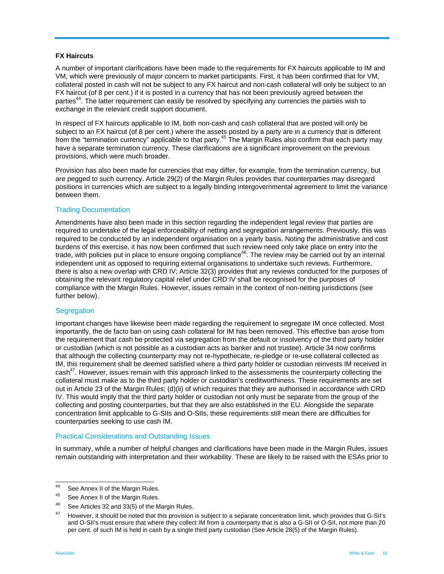#### **FX Haircuts**

A number of important clarifications have been made to the requirements for FX haircuts applicable to IM and VM, which were previously of major concern to market participants. First, it has been confirmed that for VM, collateral posted in cash will not be subject to any FX haircut and non-cash collateral will only be subject to an FX haircut (of 8 per cent.) if it is posted in a currency that has not been previously agreed between the parties<sup>44</sup>. The latter requirement can easily be resolved by specifying any currencies the parties wish to exchange in the relevant credit support document.

In respect of FX haircuts applicable to IM, both non-cash and cash collateral that are posted will only be subject to an FX haircut (of 8 per cent.) where the assets posted by a party are in a currency that is different from the "termination currency" applicable to that party.<sup>45</sup> The Margin Rules also confirm that each party may have a separate termination currency. These clarifications are a significant improvement on the previous provisions, which were much broader.

Provision has also been made for currencies that may differ, for example, from the termination currency, but are pegged to such currency. Article 29(2) of the Margin Rules provides that counterparties may disregard positions in currencies which are subject to a legally binding intergovernmental agreement to limit the variance between them.

#### Trading Documentation

Amendments have also been made in this section regarding the independent legal review that parties are required to undertake of the legal enforceability of netting and segregation arrangements. Previously, this was required to be conducted by an independent organisation on a yearly basis. Noting the administrative and cost burdens of this exercise, it has now been confirmed that such review need only take place on entry into the trade, with policies put in place to ensure ongoing compliance<sup>46</sup>. The review may be carried out by an internal independent unit as opposed to requiring external organisations to undertake such reviews. Furthermore, there is also a new overlap with CRD IV; Article 32(3) provides that any reviews conducted for the purposes of obtaining the relevant regulatory capital relief under CRD IV shall be recognised for the purposes of compliance with the Margin Rules. However, issues remain in the context of non-netting jurisdictions (see further below).

#### **Segregation**

Important changes have likewise been made regarding the requirement to segregate IM once collected. Most importantly, the de facto ban on using cash collateral for IM has been removed. This effective ban arose from the requirement that cash be protected via segregation from the default or insolvency of the third party holder or custodian (which is not possible as a custodian acts as banker and not trustee). Article 34 now confirms that although the collecting counterparty may not re-hypothecate, re-pledge or re-use collateral collected as IM, this requirement shall be deemed satisfied where a third party holder or custodian reinvests IM received in cash<sup>47</sup>. However, issues remain with this approach linked to the assessments the counterparty collecting the collateral must make as to the third party holder or custodian's creditworthiness. These requirements are set out in Article 23 of the Margin Rules; (d)(ii) of which requires that they are authorised in accordance with CRD IV. This would imply that the third party holder or custodian not only must be separate from the group of the collecting and posting counterparties, but that they are also established in the EU. Alongside the separate concentration limit applicable to G-SIIs and O-SIIs, these requirements still mean there are difficulties for counterparties seeking to use cash IM.

#### Practical Considerations and Outstanding Issues

In summary, while a number of helpful changes and clarifications have been made in the Margin Rules, issues remain outstanding with interpretation and their workability. These are likely to be raised with the ESAs prior to

<sup>44</sup> See Annex II of the Margin Rules.

<sup>&</sup>lt;sup>45</sup> See Annex II of the Margin Rules.

<sup>46</sup> See Articles 32 and 33(5) of the Margin Rules.

<sup>47</sup> However, it should be noted that this provision is subject to a separate concentration limit, which provides that G-SII's and O-SII's must ensure that where they collect IM from a counterparty that is also a G-SII or O-SII, not more than 20 per cent. of such IM is held in cash by a single third party custodian (See Article 28(5) of the Margin Rules).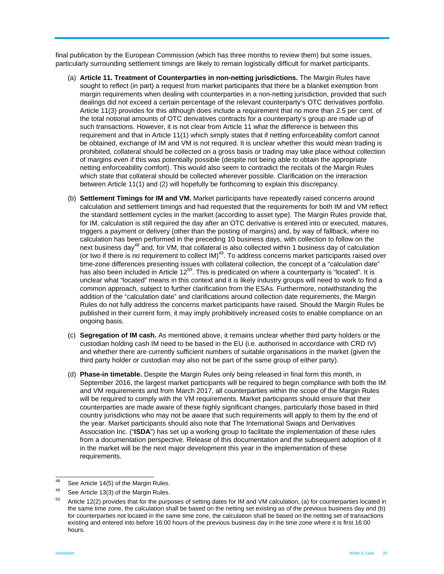final publication by the European Commission (which has three months to review them) but some issues, particularly surrounding settlement timings are likely to remain logistically difficult for market participants.

- (a) **Article 11. Treatment of Counterparties in non-netting jurisdictions.** The Margin Rules have sought to reflect (in part) a request from market participants that there be a blanket exemption from margin requirements when dealing with counterparties in a non-netting jurisdiction, provided that such dealings did not exceed a certain percentage of the relevant counterparty's OTC derivatives portfolio. Article 11(3) provides for this although does include a requirement that no more than 2.5 per cent. of the total notional amounts of OTC derivatives contracts for a counterparty's group are made up of such transactions. However, it is not clear from Article 11 what the difference is between this requirement and that in Article 11(1) which simply states that if netting enforceability comfort cannot be obtained, exchange of IM and VM is not required. It is unclear whether this would mean trading is prohibited, collateral should be collected on a gross basis or trading may take place without collection of margins even if this was potentially possible (despite not being able to obtain the appropriate netting enforceability comfort). This would also seem to contradict the recitals of the Margin Rules which state that collateral should be collected wherever possible. Clarification on the interaction between Article 11(1) and (2) will hopefully be forthcoming to explain this discrepancy.
- (b) **Settlement Timings for IM and VM.** Market participants have repeatedly raised concerns around calculation and settlement timings and had requested that the requirements for both IM and VM reflect the standard settlement cycles in the market (according to asset type). The Margin Rules provide that, for IM, calculation is still required the day after an OTC derivative is entered into or executed, matures, triggers a payment or delivery (other than the posting of margins) and, by way of fallback, where no calculation has been performed in the preceding 10 business days, with collection to follow on the next business day<sup>48</sup> and, for VM, that collateral is also collected within 1 business day of calculation (or two if there is no requirement to collect  $IM)^{49}$ . To address concerns market participants raised over time-zone differences presenting issues with collateral collection, the concept of a "calculation date" has also been included in Article 12<sup>50</sup>. This is predicated on where a counterparty is "located". It is unclear what "located" means in this context and it is likely industry groups will need to work to find a common approach, subject to further clarification from the ESAs. Furthermore, notwithstanding the addition of the "calculation date" and clarifications around collection date requirements, the Margin Rules do not fully address the concerns market participants have raised. Should the Margin Rules be published in their current form, it may imply prohibitively increased costs to enable compliance on an ongoing basis.
- (c) **Segregation of IM cash.** As mentioned above, it remains unclear whether third party holders or the custodian holding cash IM need to be based in the EU (i.e. authorised in accordance with CRD IV) and whether there are currently sufficient numbers of suitable organisations in the market (given the third party holder or custodian may also not be part of the same group of either party).
- (d) **Phase-in timetable.** Despite the Margin Rules only being released in final form this month, in September 2016, the largest market participants will be required to begin compliance with both the IM and VM requirements and from March 2017, all counterparties within the scope of the Margin Rules will be required to comply with the VM requirements. Market participants should ensure that their counterparties are made aware of these highly significant changes, particularly those based in third country jurisdictions who may not be aware that such requirements will apply to them by the end of the year. Market participants should also note that The International Swaps and Derivatives Association Inc. ("**ISDA**") has set up a working group to facilitate the implementation of these rules from a documentation perspective. Release of this documentation and the subsequent adoption of it in the market will be the next major development this year in the implementation of these requirements.

<sup>48</sup>  $^{48}$  See Article 14(5) of the Margin Rules.

See Article 13(3) of the Margin Rules.

Article 12(2) provides that for the purposes of setting dates for IM and VM calculation, (a) for counterparties located in the same time zone, the calculation shall be based on the netting set existing as of the previous business day and (b) for counterparties not located in the same time zone, the calculation shall be based on the netting set of transactions existing and entered into before 16:00 hours of the previous business day in the time zone where it is first 16:00 hours.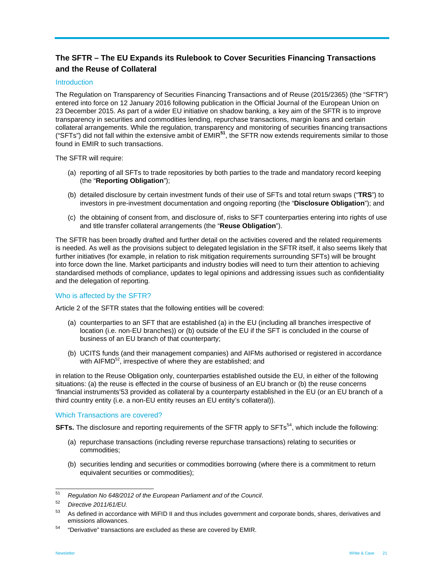# **The SFTR – The EU Expands its Rulebook to Cover Securities Financing Transactions and the Reuse of Collateral**

#### **Introduction**

The Regulation on Transparency of Securities Financing Transactions and of Reuse (2015/2365) (the "SFTR") entered into force on 12 January 2016 following publication in the Official Journal of the European Union on 23 December 2015. As part of a wider EU initiative on shadow banking, a key aim of the SFTR is to improve transparency in securities and commodities lending, repurchase transactions, margin loans and certain collateral arrangements. While the regulation, transparency and monitoring of securities financing transactions ("SFTs") did not fall within the extensive ambit of EMIR**<sup>51</sup>**, the SFTR now extends requirements similar to those found in EMIR to such transactions.

The SFTR will require:

- (a) reporting of all SFTs to trade repositories by both parties to the trade and mandatory record keeping (the "**Reporting Obligation**");
- (b) detailed disclosure by certain investment funds of their use of SFTs and total return swaps ("**TRS**") to investors in pre-investment documentation and ongoing reporting (the "**Disclosure Obligation**"); and
- (c) the obtaining of consent from, and disclosure of, risks to SFT counterparties entering into rights of use and title transfer collateral arrangements (the "**Reuse Obligation**").

The SFTR has been broadly drafted and further detail on the activities covered and the related requirements is needed. As well as the provisions subject to delegated legislation in the SFTR itself, it also seems likely that further initiatives (for example, in relation to risk mitigation requirements surrounding SFTs) will be brought into force down the line. Market participants and industry bodies will need to turn their attention to achieving standardised methods of compliance, updates to legal opinions and addressing issues such as confidentiality and the delegation of reporting.

#### Who is affected by the SFTR?

Article 2 of the SFTR states that the following entities will be covered:

- (a) counterparties to an SFT that are established (a) in the EU (including all branches irrespective of location (i.e. non-EU branches)) or (b) outside of the EU if the SFT is concluded in the course of business of an EU branch of that counterparty;
- (b) UCITS funds (and their management companies) and AIFMs authorised or registered in accordance with AIFMD<sup>52</sup>, irrespective of where they are established; and

in relation to the Reuse Obligation only, counterparties established outside the EU, in either of the following situations: (a) the reuse is effected in the course of business of an EU branch or (b) the reuse concerns 'financial instruments'53 provided as collateral by a counterparty established in the EU (or an EU branch of a third country entity (i.e. a non-EU entity reuses an EU entity's collateral)).

#### Which Transactions are covered?

**SFTs.** The disclosure and reporting requirements of the SFTR apply to SFTs<sup>54</sup>, which include the following:

- (a) repurchase transactions (including reverse repurchase transactions) relating to securities or commodities;
- (b) securities lending and securities or commodities borrowing (where there is a commitment to return equivalent securities or commodities);

<sup>51</sup> <sup>51</sup>*Regulation No 648/2012 of the European Parliament and of the Council*. 52 *Directive 2011/61/EU.*

<sup>53</sup> As defined in accordance with MiFID II and thus includes government and corporate bonds, shares, derivatives and emissions allowances.<br>
<sup>54</sup> "Derivative" transactions are excluded as these are covered by EMIR.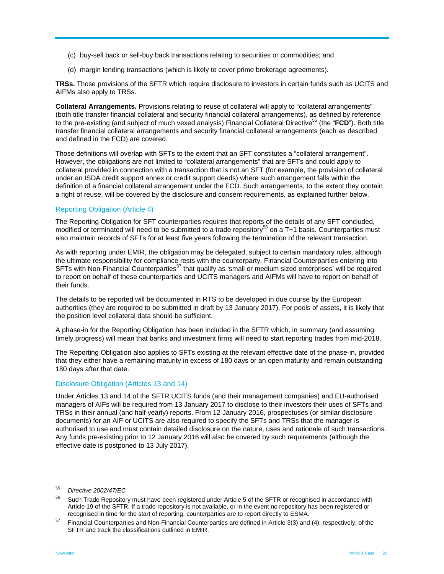- (c) buy-sell back or sell-buy back transactions relating to securities or commodities; and
- (d) margin lending transactions (which is likely to cover prime brokerage agreements).

**TRSs.** Those provisions of the SFTR which require disclosure to investors in certain funds such as UCITS and AIFMs also apply to TRSs.

**Collateral Arrangements.** Provisions relating to reuse of collateral will apply to "collateral arrangements" (both title transfer financial collateral and security financial collateral arrangements), as defined by reference to the pre-existing (and subject of much vexed analysis) Financial Collateral Directive55 (the "**FCD**"). Both title transfer financial collateral arrangements and security financial collateral arrangements (each as described and defined in the FCD) are covered.

Those definitions will overlap with SFTs to the extent that an SFT constitutes a "collateral arrangement". However, the obligations are not limited to "collateral arrangements" that are SFTs and could apply to collateral provided in connection with a transaction that is not an SFT (for example, the provision of collateral under an ISDA credit support annex or credit support deeds) where such arrangement falls within the definition of a financial collateral arrangement under the FCD. Such arrangements, to the extent they contain a right of reuse, will be covered by the disclosure and consent requirements, as explained further below.

#### Reporting Obligation (Article 4)

The Reporting Obligation for SFT counterparties requires that reports of the details of any SFT concluded, modified or terminated will need to be submitted to a trade repository<sup>56</sup> on a T+1 basis. Counterparties must also maintain records of SFTs for at least five years following the termination of the relevant transaction.

As with reporting under EMIR, the obligation may be delegated, subject to certain mandatory rules, although the ultimate responsibility for compliance rests with the counterparty. Financial Counterparties entering into SFTs with Non-Financial Counterparties<sup>57</sup> that qualify as 'small or medium sized enterprises' will be required to report on behalf of these counterparties and UCITS managers and AIFMs will have to report on behalf of their funds.

The details to be reported will be documented in RTS to be developed in due course by the European authorities (they are required to be submitted in draft by 13 January 2017). For pools of assets, it is likely that the position level collateral data should be sufficient.

A phase-in for the Reporting Obligation has been included in the SFTR which, in summary (and assuming timely progress) will mean that banks and investment firms will need to start reporting trades from mid-2018.

The Reporting Obligation also applies to SFTs existing at the relevant effective date of the phase-in, provided that they either have a remaining maturity in excess of 180 days or an open maturity and remain outstanding 180 days after that date.

#### Disclosure Obligation (Articles 13 and 14)

Under Articles 13 and 14 of the SFTR UCITS funds (and their management companies) and EU-authorised managers of AIFs will be required from 13 January 2017 to disclose to their investors their uses of SFTs and TRSs in their annual (and half yearly) reports. From 12 January 2016, prospectuses (or similar disclosure documents) for an AIF or UCITS are also required to specify the SFTs and TRSs that the manager is authorised to use and must contain detailed disclosure on the nature, uses and rationale of such transactions. Any funds pre-existing prior to 12 January 2016 will also be covered by such requirements (although the effective date is postponed to 13 July 2017).

<sup>55</sup> 55 *Directive 2002/47/EC*

<sup>&</sup>lt;sup>56</sup> Such Trade Repository must have been registered under Article 5 of the SFTR or recognised in accordance with Article 19 of the SFTR. If a trade repository is not available, or in the event no repository has been registered or recognised in time for the start of reporting, counterparties are to report directly to ESMA.<br><sup>57</sup> Financial Counterparties and Non-Financial Counterparties are defined in Article 3(3) and (4), respectively, of the

SFTR and track the classifications outlined in EMIR.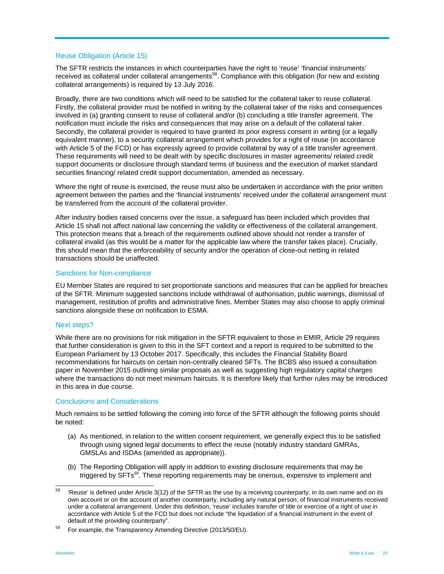#### Reuse Obligation (Article 15)

The SFTR restricts the instances in which counterparties have the right to 'reuse' 'financial instruments' received as collateral under collateral arrangements<sup>58</sup>. Compliance with this obligation (for new and existing collateral arrangements) is required by 13 July 2016.

Broadly, there are two conditions which will need to be satisfied for the collateral taker to reuse collateral. Firstly, the collateral provider must be notified in writing by the collateral taker of the risks and consequences involved in (a) granting consent to reuse of collateral and/or (b) concluding a title transfer agreement. The notification must include the risks and consequences that may arise on a default of the collateral taker. Secondly, the collateral provider is required to have granted its prior express consent in writing (or a legally equivalent manner), to a security collateral arrangement which provides for a right of reuse (in accordance with Article 5 of the FCD) or has expressly agreed to provide collateral by way of a title transfer agreement. These requirements will need to be dealt with by specific disclosures in master agreements/ related credit support documents or disclosure through standard terms of business and the execution of market standard securities financing/ related credit support documentation, amended as necessary.

Where the right of reuse is exercised, the reuse must also be undertaken in accordance with the prior written agreement between the parties and the 'financial instruments' received under the collateral arrangement must be transferred from the account of the collateral provider.

After industry bodies raised concerns over the issue, a safeguard has been included which provides that Article 15 shall not affect national law concerning the validity or effectiveness of the collateral arrangement. This protection means that a breach of the requirements outlined above should not render a transfer of collateral invalid (as this would be a matter for the applicable law where the transfer takes place). Crucially, this should mean that the enforceability of security and/or the operation of close-out netting in related transactions should be unaffected.

#### Sanctions for Non-compliance

EU Member States are required to set proportionate sanctions and measures that can be applied for breaches of the SFTR. Minimum suggested sanctions include withdrawal of authorisation, public warnings, dismissal of management, restitution of profits and administrative fines. Member States may also choose to apply criminal sanctions alongside these on notification to ESMA.

#### Next steps?

While there are no provisions for risk mitigation in the SFTR equivalent to those in EMIR, Article 29 requires that further consideration is given to this in the SFT context and a report is required to be submitted to the European Parliament by 13 October 2017. Specifically, this includes the Financial Stability Board recommendations for haircuts on certain non-centrally cleared SFTs. The BCBS also issued a consultation paper in November 2015 outlining similar proposals as well as suggesting high regulatory capital charges where the transactions do not meet minimum haircuts. It is therefore likely that further rules may be introduced in this area in due course.

#### Conclusions and Considerations

Much remains to be settled following the coming into force of the SFTR although the following points should be noted:

- (a) As mentioned, in relation to the written consent requirement, we generally expect this to be satisfied through using signed legal documents to effect the reuse (notably industry standard GMRAs, GMSLAs and ISDAs (amended as appropriate)).
- (b) The Reporting Obligation will apply in addition to existing disclosure requirements that may be triggered by SFTs<sup>59</sup>. These reporting requirements may be onerous, expensive to implement and

<sup>58</sup> 58 'Reuse' is defined under Article 3(12) of the SFTR as the use by a receiving counterparty, in its own name and on its own account or on the account of another counterparty, including any natural person, of financial instruments received under a collateral arrangement. Under this definition, 'reuse' includes transfer of title or exercise of a right of use in accordance with Article 5 of the FCD but does not include "the liquidation of a financial instrument in the event of default of the providing counterparty".<br><sup>59</sup> For example, the Transparency Amending Directive (2013/50/EU).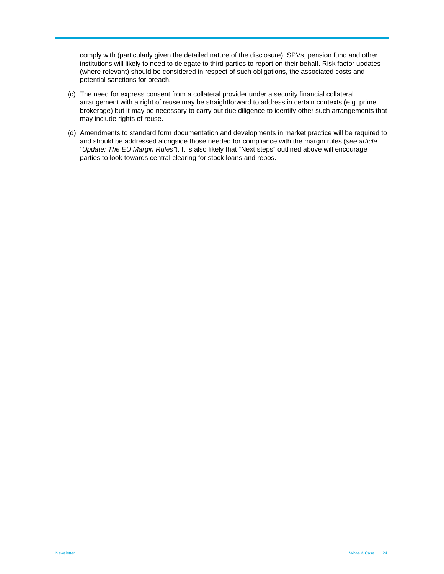comply with (particularly given the detailed nature of the disclosure). SPVs, pension fund and other institutions will likely to need to delegate to third parties to report on their behalf. Risk factor updates (where relevant) should be considered in respect of such obligations, the associated costs and potential sanctions for breach.

- (c) The need for express consent from a collateral provider under a security financial collateral arrangement with a right of reuse may be straightforward to address in certain contexts (e.g. prime brokerage) but it may be necessary to carry out due diligence to identify other such arrangements that may include rights of reuse.
- (d) Amendments to standard form documentation and developments in market practice will be required to and should be addressed alongside those needed for compliance with the margin rules (*see article "Update: The EU Margin Rules"*). It is also likely that "Next steps" outlined above will encourage parties to look towards central clearing for stock loans and repos.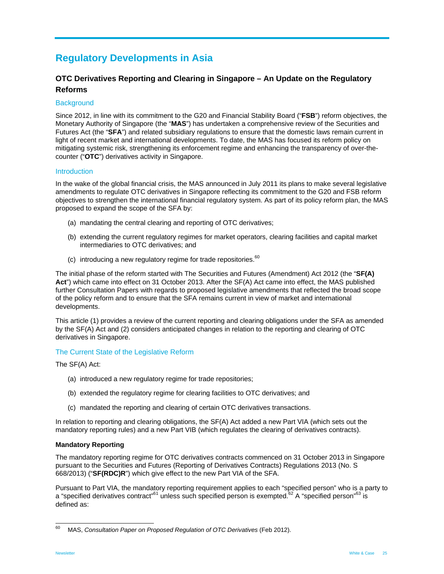# **Regulatory Developments in Asia**

# **OTC Derivatives Reporting and Clearing in Singapore – An Update on the Regulatory Reforms**

#### **Background**

Since 2012, in line with its commitment to the G20 and Financial Stability Board ("**FSB**") reform objectives, the Monetary Authority of Singapore (the "**MAS**") has undertaken a comprehensive review of the Securities and Futures Act (the "**SFA**") and related subsidiary regulations to ensure that the domestic laws remain current in light of recent market and international developments. To date, the MAS has focused its reform policy on mitigating systemic risk, strengthening its enforcement regime and enhancing the transparency of over-thecounter ("**OTC**") derivatives activity in Singapore.

#### Introduction

In the wake of the global financial crisis, the MAS announced in July 2011 its plans to make several legislative amendments to regulate OTC derivatives in Singapore reflecting its commitment to the G20 and FSB reform objectives to strengthen the international financial regulatory system. As part of its policy reform plan, the MAS proposed to expand the scope of the SFA by:

- (a) mandating the central clearing and reporting of OTC derivatives;
- (b) extending the current regulatory regimes for market operators, clearing facilities and capital market intermediaries to OTC derivatives; and
- (c) introducing a new regulatory regime for trade repositories. $60$

The initial phase of the reform started with The Securities and Futures (Amendment) Act 2012 (the "**SF(A) Act**") which came into effect on 31 October 2013. After the SF(A) Act came into effect, the MAS published further Consultation Papers with regards to proposed legislative amendments that reflected the broad scope of the policy reform and to ensure that the SFA remains current in view of market and international developments.

This article (1) provides a review of the current reporting and clearing obligations under the SFA as amended by the SF(A) Act and (2) considers anticipated changes in relation to the reporting and clearing of OTC derivatives in Singapore.

#### The Current State of the Legislative Reform

The SF(A) Act:

- (a) introduced a new regulatory regime for trade repositories;
- (b) extended the regulatory regime for clearing facilities to OTC derivatives; and
- (c) mandated the reporting and clearing of certain OTC derivatives transactions.

In relation to reporting and clearing obligations, the SF(A) Act added a new Part VIA (which sets out the mandatory reporting rules) and a new Part VIB (which regulates the clearing of derivatives contracts).

#### **Mandatory Reporting**

The mandatory reporting regime for OTC derivatives contracts commenced on 31 October 2013 in Singapore pursuant to the Securities and Futures (Reporting of Derivatives Contracts) Regulations 2013 (No. S 668/2013) ("**SF(RDC)R**") which give effect to the new Part VIA of the SFA.

Pursuant to Part VIA, the mandatory reporting requirement applies to each "specified person" who is a party to a "specified derivatives contract"<sup>61</sup> unless such specified person is exempted.<sup>62</sup> A "specified person"<sup>63</sup> is defined as:

<sup>60</sup> 60 MAS, *Consultation Paper on Proposed Regulation of OTC Derivatives* (Feb 2012).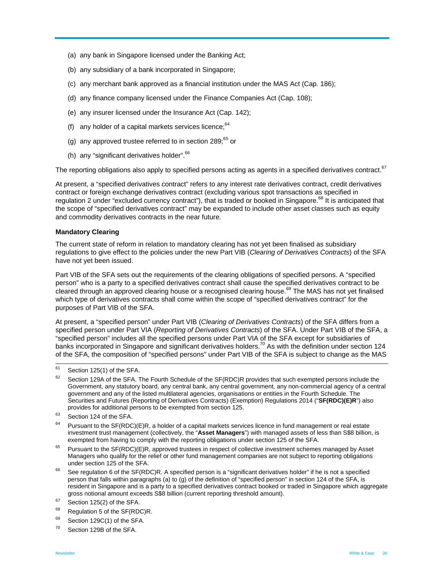- (a) any bank in Singapore licensed under the Banking Act;
- (b) any subsidiary of a bank incorporated in Singapore;
- (c) any merchant bank approved as a financial institution under the MAS Act (Cap. 186);
- (d) any finance company licensed under the Finance Companies Act (Cap. 108);
- (e) any insurer licensed under the Insurance Act (Cap. 142);
- (f) any holder of a capital markets services licence;  $64$
- (g) any approved trustee referred to in section  $289$ ;  $65$  or
- (h) any "significant derivatives holder".<sup>66</sup>

The reporting obligations also apply to specified persons acting as agents in a specified derivatives contract.<sup>67</sup>

At present, a "specified derivatives contract" refers to any interest rate derivatives contract, credit derivatives contract or foreign exchange derivatives contract (excluding various spot transactions as specified in regulation 2 under "excluded currency contract"), that is traded or booked in Singapore.<sup>68</sup> It is anticipated that the scope of "specified derivatives contract" may be expanded to include other asset classes such as equity and commodity derivatives contracts in the near future.

#### **Mandatory Clearing**

The current state of reform in relation to mandatory clearing has not yet been finalised as subsidiary regulations to give effect to the policies under the new Part VIB (*Clearing of Derivatives Contracts*) of the SFA have not yet been issued.

Part VIB of the SFA sets out the requirements of the clearing obligations of specified persons. A "specified person" who is a party to a specified derivatives contract shall cause the specified derivatives contract to be cleared through an approved clearing house or a recognised clearing house.<sup>69</sup> The MAS has not yet finalised which type of derivatives contracts shall come within the scope of "specified derivatives contract" for the purposes of Part VIB of the SFA.

At present, a "specified person" under Part VIB (*Clearing of Derivatives Contracts*) of the SFA differs from a specified person under Part VIA (*Reporting of Derivatives Contracts*) of the SFA. Under Part VIB of the SFA, a "specified person" includes all the specified persons under Part VIA of the SFA except for subsidiaries of banks incorporated in Singapore and significant derivatives holders.<sup>70</sup> As with the definition under section 124 of the SFA, the composition of "specified persons" under Part VIB of the SFA is subject to change as the MAS

 $61$  Section 125(1) of the SFA.

<sup>&</sup>lt;sup>62</sup> Section 129A of the SFA. The Fourth Schedule of the SF(RDC)R provides that such exempted persons include the Government, any statutory board, any central bank, any central government, any non-commercial agency of a central government and any of the listed multilateral agencies, organisations or entities in the Fourth Schedule. The Securities and Futures (Reporting of Derivatives Contracts) (Exemption) Regulations 2014 ("**SF(RDC)(E)R**") also provides for additional persons to be exempted from section 125.<br>
<sup>63</sup> Section 124 of the SFA.

 $64$  Pursuant to the SF(RDC)(E)R, a holder of a capital markets services licence in fund management or real estate investment trust management (collectively, the "**Asset Managers**") with managed assets of less than S\$8 billion, is exempted from having to comply with the reporting obligations under section 125 of the SFA.<br><sup>65</sup> Pursuant to the SF(RDC)(E)R, approved trustees in respect of collective investment schemes managed by Asset

Managers who qualify for the relief or other fund management companies are not subject to reporting obligations

<sup>&</sup>lt;sup>66</sup> See regulation 6 of the SF(RDC)R. A specified person is a "significant derivatives holder" if he is not a specified person that falls within paragraphs (a) to (g) of the definition of "specified person" in section 124 of the SFA, is resident in Singapore and is a party to a specified derivatives contract booked or traded in Singapore which aggregate gross notional amount exceeds S\$8 billion (current reporting threshold amount).<br><sup>67</sup> Section 125(2) of the SFA.

<sup>&</sup>lt;sup>68</sup> Regulation 5 of the SF(RDC)R.

<sup>&</sup>lt;sup>69</sup> Section 129C(1) of the SFA.

<sup>70</sup> Section 129B of the SFA.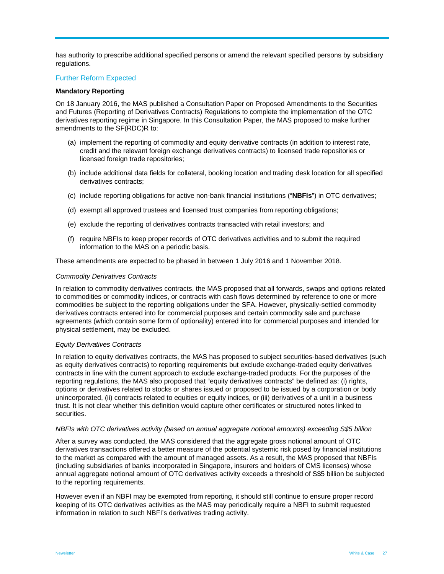has authority to prescribe additional specified persons or amend the relevant specified persons by subsidiary regulations.

#### Further Reform Expected

#### **Mandatory Reporting**

On 18 January 2016, the MAS published a Consultation Paper on Proposed Amendments to the Securities and Futures (Reporting of Derivatives Contracts) Regulations to complete the implementation of the OTC derivatives reporting regime in Singapore. In this Consultation Paper, the MAS proposed to make further amendments to the SF(RDC)R to:

- (a) implement the reporting of commodity and equity derivative contracts (in addition to interest rate, credit and the relevant foreign exchange derivatives contracts) to licensed trade repositories or licensed foreign trade repositories;
- (b) include additional data fields for collateral, booking location and trading desk location for all specified derivatives contracts;
- (c) include reporting obligations for active non-bank financial institutions ("**NBFIs**") in OTC derivatives;
- (d) exempt all approved trustees and licensed trust companies from reporting obligations;
- (e) exclude the reporting of derivatives contracts transacted with retail investors; and
- (f) require NBFIs to keep proper records of OTC derivatives activities and to submit the required information to the MAS on a periodic basis.

These amendments are expected to be phased in between 1 July 2016 and 1 November 2018.

#### *Commodity Derivatives Contracts*

In relation to commodity derivatives contracts, the MAS proposed that all forwards, swaps and options related to commodities or commodity indices, or contracts with cash flows determined by reference to one or more commodities be subject to the reporting obligations under the SFA. However, physically-settled commodity derivatives contracts entered into for commercial purposes and certain commodity sale and purchase agreements (which contain some form of optionality) entered into for commercial purposes and intended for physical settlement, may be excluded.

#### *Equity Derivatives Contracts*

In relation to equity derivatives contracts, the MAS has proposed to subject securities-based derivatives (such as equity derivatives contracts) to reporting requirements but exclude exchange-traded equity derivatives contracts in line with the current approach to exclude exchange-traded products. For the purposes of the reporting regulations, the MAS also proposed that "equity derivatives contracts" be defined as: (i) rights, options or derivatives related to stocks or shares issued or proposed to be issued by a corporation or body unincorporated, (ii) contracts related to equities or equity indices, or (iii) derivatives of a unit in a business trust. It is not clear whether this definition would capture other certificates or structured notes linked to securities.

#### *NBFIs with OTC derivatives activity (based on annual aggregate notional amounts) exceeding S\$5 billion*

After a survey was conducted, the MAS considered that the aggregate gross notional amount of OTC derivatives transactions offered a better measure of the potential systemic risk posed by financial institutions to the market as compared with the amount of managed assets. As a result, the MAS proposed that NBFIs (including subsidiaries of banks incorporated in Singapore, insurers and holders of CMS licenses) whose annual aggregate notional amount of OTC derivatives activity exceeds a threshold of S\$5 billion be subjected to the reporting requirements.

However even if an NBFI may be exempted from reporting, it should still continue to ensure proper record keeping of its OTC derivatives activities as the MAS may periodically require a NBFI to submit requested information in relation to such NBFI's derivatives trading activity.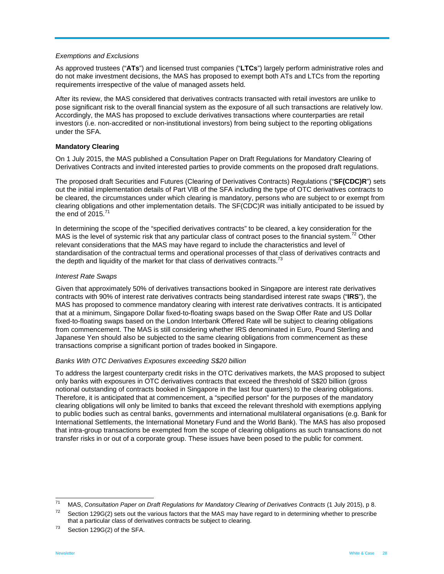#### *Exemptions and Exclusions*

As approved trustees ("**ATs**") and licensed trust companies ("**LTCs**") largely perform administrative roles and do not make investment decisions, the MAS has proposed to exempt both ATs and LTCs from the reporting requirements irrespective of the value of managed assets held.

After its review, the MAS considered that derivatives contracts transacted with retail investors are unlike to pose significant risk to the overall financial system as the exposure of all such transactions are relatively low. Accordingly, the MAS has proposed to exclude derivatives transactions where counterparties are retail investors (i.e. non-accredited or non-institutional investors) from being subject to the reporting obligations under the SFA.

#### **Mandatory Clearing**

On 1 July 2015, the MAS published a Consultation Paper on Draft Regulations for Mandatory Clearing of Derivatives Contracts and invited interested parties to provide comments on the proposed draft regulations.

The proposed draft Securities and Futures (Clearing of Derivatives Contracts) Regulations ("**SF(CDC)R**") sets out the initial implementation details of Part VIB of the SFA including the type of OTC derivatives contracts to be cleared, the circumstances under which clearing is mandatory, persons who are subject to or exempt from clearing obligations and other implementation details. The SF(CDC)R was initially anticipated to be issued by the end of  $2015$ .<sup>71</sup>

In determining the scope of the "specified derivatives contracts" to be cleared, a key consideration for the MAS is the level of systemic risk that any particular class of contract poses to the financial system.<sup>72</sup> Other relevant considerations that the MAS may have regard to include the characteristics and level of standardisation of the contractual terms and operational processes of that class of derivatives contracts and the depth and liquidity of the market for that class of derivatives contracts.<sup>73</sup>

#### *Interest Rate Swaps*

Given that approximately 50% of derivatives transactions booked in Singapore are interest rate derivatives contracts with 90% of interest rate derivatives contracts being standardised interest rate swaps ("**IRS**"), the MAS has proposed to commence mandatory clearing with interest rate derivatives contracts. It is anticipated that at a minimum, Singapore Dollar fixed-to-floating swaps based on the Swap Offer Rate and US Dollar fixed-to-floating swaps based on the London Interbank Offered Rate will be subject to clearing obligations from commencement. The MAS is still considering whether IRS denominated in Euro, Pound Sterling and Japanese Yen should also be subjected to the same clearing obligations from commencement as these transactions comprise a significant portion of trades booked in Singapore.

#### *Banks With OTC Derivatives Exposures exceeding S\$20 billion*

To address the largest counterparty credit risks in the OTC derivatives markets, the MAS proposed to subject only banks with exposures in OTC derivatives contracts that exceed the threshold of S\$20 billion (gross notional outstanding of contracts booked in Singapore in the last four quarters) to the clearing obligations. Therefore, it is anticipated that at commencement, a "specified person" for the purposes of the mandatory clearing obligations will only be limited to banks that exceed the relevant threshold with exemptions applying to public bodies such as central banks, governments and international multilateral organisations (e.g. Bank for International Settlements, the International Monetary Fund and the World Bank). The MAS has also proposed that intra-group transactions be exempted from the scope of clearing obligations as such transactions do not transfer risks in or out of a corporate group. These issues have been posed to the public for comment.

<sup>71</sup> 

<sup>&</sup>lt;sup>1</sup> MAS, Consultation Paper on Draft Regulations for Mandatory Clearing of Derivatives Contracts (1 July 2015), p 8.<br><sup>72</sup> Section 129G(2) sets out the various factors that the MAS may have regard to in determining whether that a particular class of derivatives contracts be subject to clearing.<br>
<sup>73</sup> Section 129G(2) of the SFA.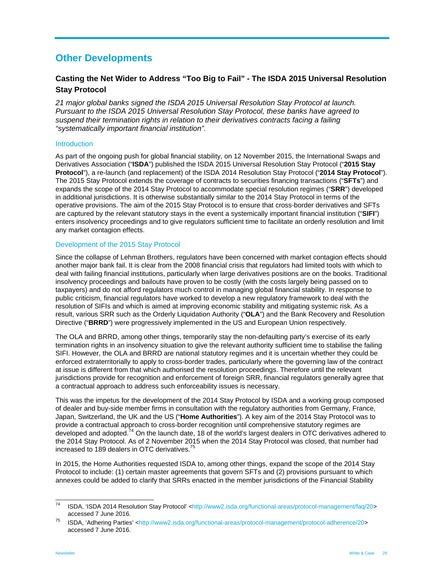# **Other Developments**

# **Casting the Net Wider to Address "Too Big to Fail" - The ISDA 2015 Universal Resolution Stay Protocol**

*21 major global banks signed the ISDA 2015 Universal Resolution Stay Protocol at launch. Pursuant to the ISDA 2015 Universal Resolution Stay Protocol, these banks have agreed to suspend their termination rights in relation to their derivatives contracts facing a failing "systematically important financial institution".* 

#### **Introduction**

As part of the ongoing push for global financial stability, on 12 November 2015, the International Swaps and Derivatives Association ("**ISDA**") published the ISDA 2015 Universal Resolution Stay Protocol ("**2015 Stay Protocol**"), a re-launch (and replacement) of the ISDA 2014 Resolution Stay Protocol ("**2014 Stay Protocol**"). The 2015 Stay Protocol extends the coverage of contracts to securities financing transactions ("**SFTs**") and expands the scope of the 2014 Stay Protocol to accommodate special resolution regimes ("**SRR**") developed in additional jurisdictions. It is otherwise substantially similar to the 2014 Stay Protocol in terms of the operative provisions. The aim of the 2015 Stay Protocol is to ensure that cross-border derivatives and SFTs are captured by the relevant statutory stays in the event a systemically important financial institution ("**SIFI**") enters insolvency proceedings and to give regulators sufficient time to facilitate an orderly resolution and limit any market contagion effects.

#### Development of the 2015 Stay Protocol

Since the collapse of Lehman Brothers, regulators have been concerned with market contagion effects should another major bank fail. It is clear from the 2008 financial crisis that regulators had limited tools with which to deal with failing financial institutions, particularly when large derivatives positions are on the books. Traditional insolvency proceedings and bailouts have proven to be costly (with the costs largely being passed on to taxpayers) and do not afford regulators much control in managing global financial stability. In response to public criticism, financial regulators have worked to develop a new regulatory framework to deal with the resolution of SIFIs and which is aimed at improving economic stability and mitigating systemic risk. As a result, various SRR such as the Orderly Liquidation Authority ("**OLA**") and the Bank Recovery and Resolution Directive ("**BRRD**") were progressively implemented in the US and European Union respectively.

The OLA and BRRD, among other things, temporarily stay the non-defaulting party's exercise of its early termination rights in an insolvency situation to give the relevant authority sufficient time to stabilise the failing SIFI. However, the OLA and BRRD are national statutory regimes and it is uncertain whether they could be enforced extraterritorially to apply to cross-border trades, particularly where the governing law of the contract at issue is different from that which authorised the resolution proceedings. Therefore until the relevant jurisdictions provide for recognition and enforcement of foreign SRR, financial regulators generally agree that a contractual approach to address such enforceability issues is necessary.

This was the impetus for the development of the 2014 Stay Protocol by ISDA and a working group composed of dealer and buy-side member firms in consultation with the regulatory authorities from Germany, France, Japan, Switzerland, the UK and the US ("**Home Authorities**"). A key aim of the 2014 Stay Protocol was to provide a contractual approach to cross-border recognition until comprehensive statutory regimes are developed and adopted. $74$  On the launch date, 18 of the world's largest dealers in OTC derivatives adhered to the 2014 Stay Protocol. As of 2 November 2015 when the 2014 Stay Protocol was closed, that number had increased to 189 dealers in OTC derivatives.<sup>75</sup>

In 2015, the Home Authorities requested ISDA to, among other things, expand the scope of the 2014 Stay Protocol to include: (1) certain master agreements that govern SFTs and (2) provisions pursuant to which annexes could be added to clarify that SRRs enacted in the member jurisdictions of the Financial Stability

 $\overline{74}$ ISDA, 'ISDA 2014 Resolution Stay Protocol' <http://www2.isda.org/functional-areas/protocol-management/faq/20>

accessed 7 June 2016.<br><sup>75</sup> ISDA, 'Adhering Parties' <http://www2.isda.org/functional-areas/protocol-management/protocol-adherence/20> accessed 7 June 2016.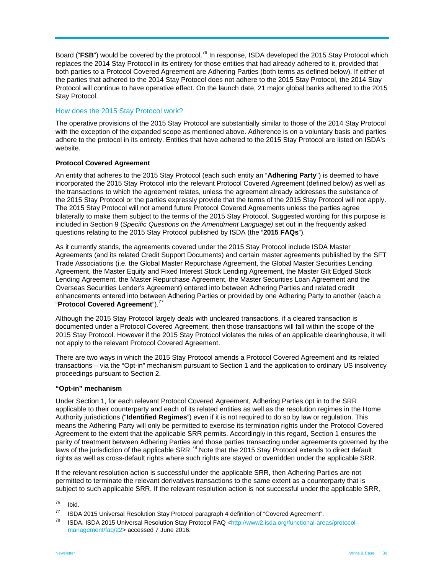Board ("**FSB**") would be covered by the protocol.<sup>76</sup> In response, ISDA developed the 2015 Stay Protocol which replaces the 2014 Stay Protocol in its entirety for those entities that had already adhered to it, provided that both parties to a Protocol Covered Agreement are Adhering Parties (both terms as defined below). If either of the parties that adhered to the 2014 Stay Protocol does not adhere to the 2015 Stay Protocol, the 2014 Stay Protocol will continue to have operative effect. On the launch date, 21 major global banks adhered to the 2015 Stay Protocol.

#### How does the 2015 Stay Protocol work?

The operative provisions of the 2015 Stay Protocol are substantially similar to those of the 2014 Stay Protocol with the exception of the expanded scope as mentioned above. Adherence is on a voluntary basis and parties adhere to the protocol in its entirety. Entities that have adhered to the 2015 Stay Protocol are listed on ISDA's website.

#### **Protocol Covered Agreement**

An entity that adheres to the 2015 Stay Protocol (each such entity an "**Adhering Party**") is deemed to have incorporated the 2015 Stay Protocol into the relevant Protocol Covered Agreement (defined below) as well as the transactions to which the agreement relates, unless the agreement already addresses the substance of the 2015 Stay Protocol or the parties expressly provide that the terms of the 2015 Stay Protocol will not apply. The 2015 Stay Protocol will not amend future Protocol Covered Agreements unless the parties agree bilaterally to make them subject to the terms of the 2015 Stay Protocol. Suggested wording for this purpose is included in Section 9 (*Specific Questions on the Amendment Language)* set out in the frequently asked questions relating to the 2015 Stay Protocol published by ISDA (the "**2015 FAQs**").

As it currently stands, the agreements covered under the 2015 Stay Protocol include ISDA Master Agreements (and its related Credit Support Documents) and certain master agreements published by the SFT Trade Associations (i.e. the Global Master Repurchase Agreement, the Global Master Securities Lending Agreement, the Master Equity and Fixed Interest Stock Lending Agreement, the Master Gilt Edged Stock Lending Agreement, the Master Repurchase Agreement, the Master Securities Loan Agreement and the Overseas Securities Lender's Agreement) entered into between Adhering Parties and related credit enhancements entered into between Adhering Parties or provided by one Adhering Party to another (each a "**Protocol Covered Agreement**").<sup>77</sup>

Although the 2015 Stay Protocol largely deals with uncleared transactions, if a cleared transaction is documented under a Protocol Covered Agreement, then those transactions will fall within the scope of the 2015 Stay Protocol. However if the 2015 Stay Protocol violates the rules of an applicable clearinghouse, it will not apply to the relevant Protocol Covered Agreement.

There are two ways in which the 2015 Stay Protocol amends a Protocol Covered Agreement and its related transactions – via the "Opt-in" mechanism pursuant to Section 1 and the application to ordinary US insolvency proceedings pursuant to Section 2.

#### **"Opt-in" mechanism**

Under Section 1, for each relevant Protocol Covered Agreement, Adhering Parties opt in to the SRR applicable to their counterparty and each of its related entities as well as the resolution regimes in the Home Authority jurisdictions ("**Identified Regimes**") even if it is not required to do so by law or regulation. This means the Adhering Party will only be permitted to exercise its termination rights under the Protocol Covered Agreement to the extent that the applicable SRR permits. Accordingly in this regard, Section 1 ensures the parity of treatment between Adhering Parties and those parties transacting under agreements governed by the laws of the jurisdiction of the applicable SRR.<sup>78</sup> Note that the 2015 Stay Protocol extends to direct default rights as well as cross-default rights where such rights are stayed or overridden under the applicable SRR.

If the relevant resolution action is successful under the applicable SRR, then Adhering Parties are not permitted to terminate the relevant derivatives transactions to the same extent as a counterparty that is subject to such applicable SRR. If the relevant resolution action is not successful under the applicable SRR,

<sup>76</sup>  $\frac{76}{77}$  Ibid.

ISDA 2015 Universal Resolution Stay Protocol paragraph 4 definition of "Covered Agreement".

<sup>78</sup> ISDA, ISDA 2015 Universal Resolution Stay Protocol FAQ <http://www2.isda.org/functional-areas/protocolmanagement/faq/22> accessed 7 June 2016.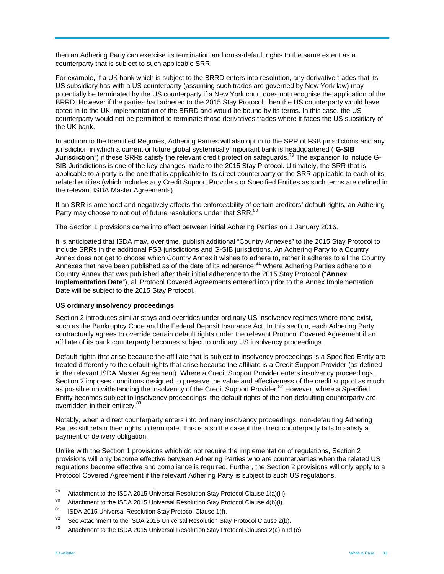then an Adhering Party can exercise its termination and cross-default rights to the same extent as a counterparty that is subject to such applicable SRR.

For example, if a UK bank which is subject to the BRRD enters into resolution, any derivative trades that its US subsidiary has with a US counterparty (assuming such trades are governed by New York law) may potentially be terminated by the US counterparty if a New York court does not recognise the application of the BRRD. However if the parties had adhered to the 2015 Stay Protocol, then the US counterparty would have opted in to the UK implementation of the BRRD and would be bound by its terms. In this case, the US counterparty would not be permitted to terminate those derivatives trades where it faces the US subsidiary of the UK bank.

In addition to the Identified Regimes, Adhering Parties will also opt in to the SRR of FSB jurisdictions and any jurisdiction in which a current or future global systemically important bank is headquartered ("**G-SIB Jurisdiction**") if these SRRs satisfy the relevant credit protection safeguards.<sup>79</sup> The expansion to include G-SIB Jurisdictions is one of the key changes made to the 2015 Stay Protocol. Ultimately, the SRR that is applicable to a party is the one that is applicable to its direct counterparty or the SRR applicable to each of its related entities (which includes any Credit Support Providers or Specified Entities as such terms are defined in the relevant ISDA Master Agreements).

If an SRR is amended and negatively affects the enforceability of certain creditors' default rights, an Adhering Party may choose to opt out of future resolutions under that SRR.<sup>80</sup>

The Section 1 provisions came into effect between initial Adhering Parties on 1 January 2016.

It is anticipated that ISDA may, over time, publish additional "Country Annexes" to the 2015 Stay Protocol to include SRRs in the additional FSB jurisdictions and G-SIB jurisdictions. An Adhering Party to a Country Annex does not get to choose which Country Annex it wishes to adhere to, rather it adheres to all the Country Annexes that have been published as of the date of its adherence.<sup>81</sup> Where Adhering Parties adhere to a Country Annex that was published after their initial adherence to the 2015 Stay Protocol ("**Annex Implementation Date**"), all Protocol Covered Agreements entered into prior to the Annex Implementation Date will be subject to the 2015 Stay Protocol.

#### **US ordinary insolvency proceedings**

Section 2 introduces similar stays and overrides under ordinary US insolvency regimes where none exist, such as the Bankruptcy Code and the Federal Deposit Insurance Act. In this section, each Adhering Party contractually agrees to override certain default rights under the relevant Protocol Covered Agreement if an affiliate of its bank counterparty becomes subject to ordinary US insolvency proceedings.

Default rights that arise because the affiliate that is subject to insolvency proceedings is a Specified Entity are treated differently to the default rights that arise because the affiliate is a Credit Support Provider (as defined in the relevant ISDA Master Agreement). Where a Credit Support Provider enters insolvency proceedings, Section 2 imposes conditions designed to preserve the value and effectiveness of the credit support as much as possible notwithstanding the insolvency of the Credit Support Provider.<sup>82</sup> However, where a Specified Entity becomes subject to insolvency proceedings, the default rights of the non-defaulting counterparty are overridden in their entirety.<sup>83</sup>

Notably, when a direct counterparty enters into ordinary insolvency proceedings, non-defaulting Adhering Parties still retain their rights to terminate. This is also the case if the direct counterparty fails to satisfy a payment or delivery obligation.

Unlike with the Section 1 provisions which do not require the implementation of regulations, Section 2 provisions will only become effective between Adhering Parties who are counterparties when the related US regulations become effective and compliance is required. Further, the Section 2 provisions will only apply to a Protocol Covered Agreement if the relevant Adhering Party is subject to such US regulations.

<sup>79</sup> Attachment to the ISDA 2015 Universal Resolution Stay Protocol Clause 1(a)(iii).

<sup>&</sup>lt;sup>80</sup> Attachment to the ISDA 2015 Universal Resolution Stay Protocol Clause  $4(b)(i)$ .

<sup>81</sup> ISDA 2015 Universal Resolution Stay Protocol Clause 1(f).

<sup>&</sup>lt;sup>82</sup> See Attachment to the ISDA 2015 Universal Resolution Stay Protocol Clause 2(b).

<sup>&</sup>lt;sup>83</sup> Attachment to the ISDA 2015 Universal Resolution Stay Protocol Clauses 2(a) and (e).